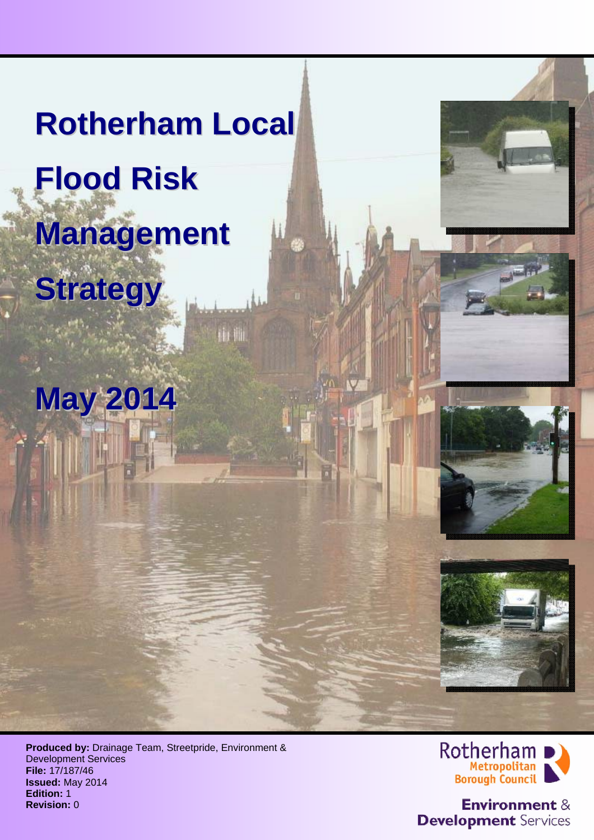# **Rotherham Local Flood Risk Management**

**May 2014**

th ili

**Strategy**





**Produced by:** Drainage Team, Streetpride, Environment & Development Services **File:** 17/187/46 **Issued:** May 2014 **Edition:** 1 **Revision:** 0



**Environment & Development** Services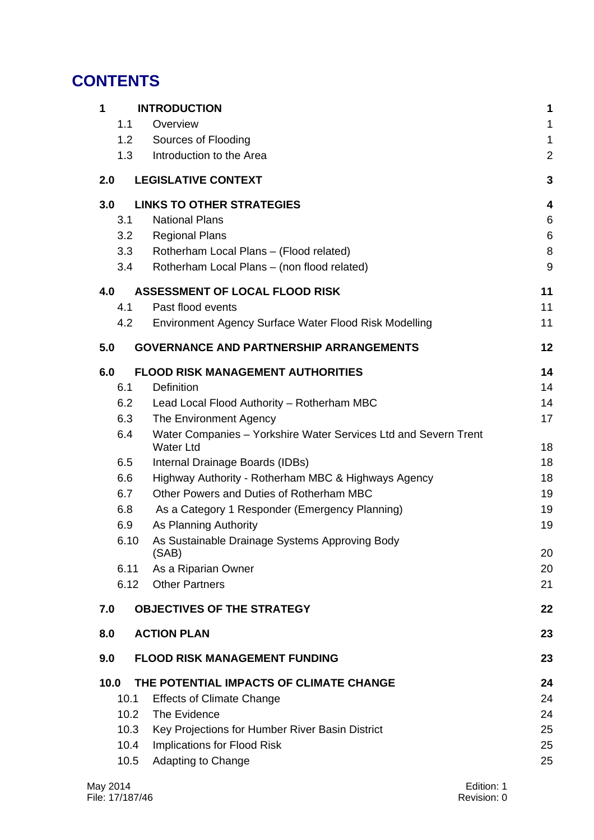# **CONTENTS**

| 1                                      |                               | <b>INTRODUCTION</b>                                                                 | 1              |
|----------------------------------------|-------------------------------|-------------------------------------------------------------------------------------|----------------|
|                                        | 1.1                           | Overview                                                                            | 1              |
|                                        | 1.2                           | Sources of Flooding                                                                 | 1              |
|                                        | 1.3                           | Introduction to the Area                                                            | $\overline{a}$ |
| 2.0                                    |                               | <b>LEGISLATIVE CONTEXT</b>                                                          | 3              |
| 3.0                                    |                               | <b>LINKS TO OTHER STRATEGIES</b>                                                    | 4              |
|                                        | 3.1                           | <b>National Plans</b>                                                               | 6              |
|                                        | 3.2                           | <b>Regional Plans</b>                                                               | 6              |
|                                        | 3.3                           | Rotherham Local Plans - (Flood related)                                             | 8              |
|                                        | 3.4                           | Rotherham Local Plans - (non flood related)                                         | 9              |
| 4.0                                    |                               | <b>ASSESSMENT OF LOCAL FLOOD RISK</b>                                               | 11             |
|                                        | 4.1                           | Past flood events                                                                   | 11             |
|                                        | 4.2                           | Environment Agency Surface Water Flood Risk Modelling                               | 11             |
| 5.0                                    |                               | <b>GOVERNANCE AND PARTNERSHIP ARRANGEMENTS</b>                                      | 12             |
| 6.0                                    |                               | <b>FLOOD RISK MANAGEMENT AUTHORITIES</b>                                            | 14             |
|                                        | 6.1                           | Definition                                                                          | 14             |
|                                        | 6.2                           | Lead Local Flood Authority - Rotherham MBC                                          | 14             |
|                                        | 6.3<br>The Environment Agency |                                                                                     | 17             |
|                                        | 6.4                           | Water Companies - Yorkshire Water Services Ltd and Severn Trent<br><b>Water Ltd</b> | 18             |
| 6.5<br>Internal Drainage Boards (IDBs) |                               |                                                                                     | 18             |
|                                        | 6.6                           | Highway Authority - Rotherham MBC & Highways Agency                                 | 18             |
|                                        | 6.7                           | Other Powers and Duties of Rotherham MBC                                            | 19             |
|                                        | 6.8                           | As a Category 1 Responder (Emergency Planning)                                      | 19             |
|                                        | 6.9                           | As Planning Authority                                                               | 19             |
|                                        | 6.10                          | As Sustainable Drainage Systems Approving Body                                      |                |
|                                        |                               | (SAB)                                                                               | 20             |
|                                        | 6.11<br>6.12                  | As a Riparian Owner<br><b>Other Partners</b>                                        | 20<br>21       |
|                                        |                               |                                                                                     |                |
| 7.0                                    |                               | <b>OBJECTIVES OF THE STRATEGY</b>                                                   | 22             |
| 8.0                                    |                               | <b>ACTION PLAN</b>                                                                  | 23             |
| 9.0                                    |                               | <b>FLOOD RISK MANAGEMENT FUNDING</b>                                                | 23             |
| 10.0                                   |                               | THE POTENTIAL IMPACTS OF CLIMATE CHANGE                                             | 24             |
|                                        | 10.1                          | <b>Effects of Climate Change</b>                                                    | 24             |
|                                        | 10.2                          | The Evidence                                                                        | 24             |
|                                        | 10.3                          | Key Projections for Humber River Basin District                                     | 25             |
|                                        | 10.4                          | Implications for Flood Risk                                                         | 25             |
|                                        | 10.5                          | Adapting to Change                                                                  | 25             |
|                                        |                               |                                                                                     |                |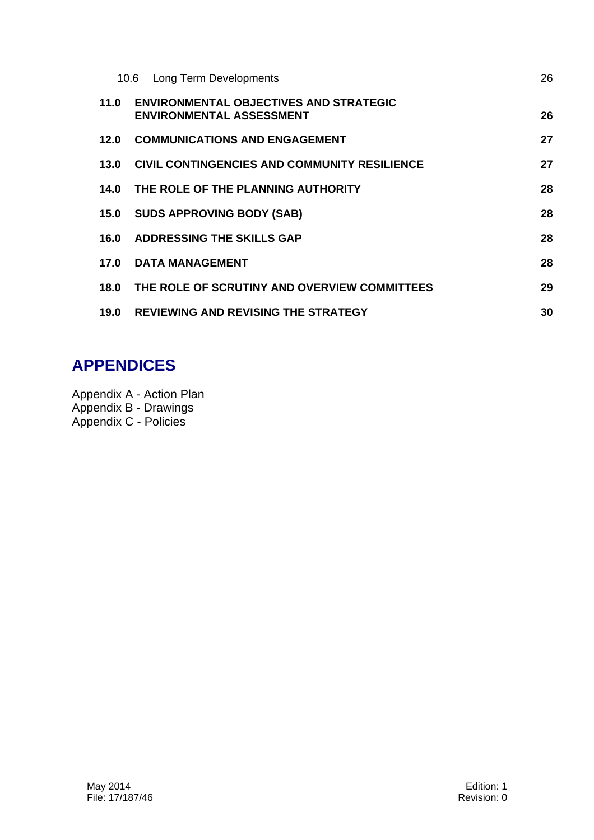|      | <b>Long Term Developments</b><br>10.6                                            | 26 |
|------|----------------------------------------------------------------------------------|----|
| 11.0 | <b>ENVIRONMENTAL OBJECTIVES AND STRATEGIC</b><br><b>ENVIRONMENTAL ASSESSMENT</b> | 26 |
| 12.0 | <b>COMMUNICATIONS AND ENGAGEMENT</b>                                             | 27 |
| 13.0 | <b>CIVIL CONTINGENCIES AND COMMUNITY RESILIENCE</b>                              | 27 |
| 14.0 | THE ROLE OF THE PLANNING AUTHORITY                                               | 28 |
| 15.0 | <b>SUDS APPROVING BODY (SAB)</b>                                                 | 28 |
| 16.0 | <b>ADDRESSING THE SKILLS GAP</b>                                                 | 28 |
| 17.0 | <b>DATA MANAGEMENT</b>                                                           | 28 |
| 18.0 | THE ROLE OF SCRUTINY AND OVERVIEW COMMITTEES                                     | 29 |
| 19.0 | <b>REVIEWING AND REVISING THE STRATEGY</b>                                       | 30 |

# **APPENDICES**

Appendix A - Action Plan Appendix B - Drawings Appendix C - Policies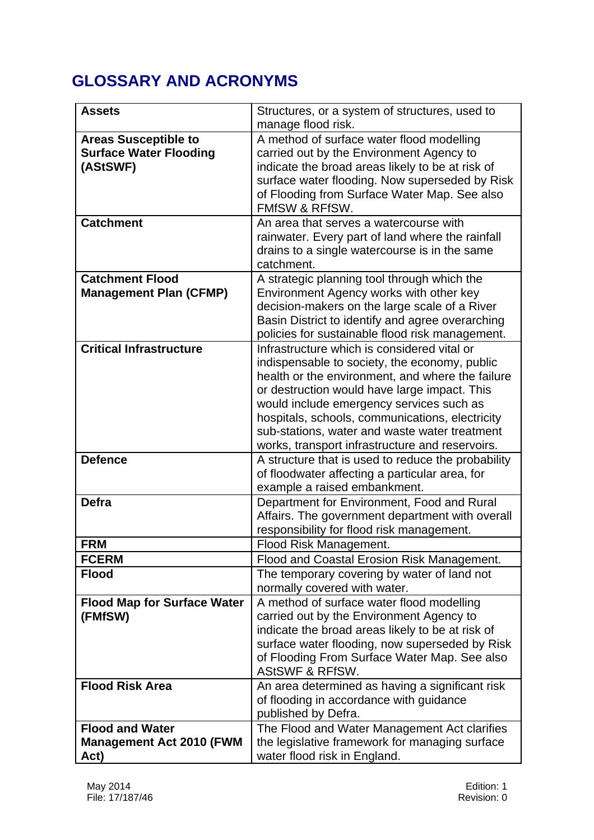# **GLOSSARY AND ACRONYMS**

| <b>Assets</b>                      | Structures, or a system of structures, used to<br>manage flood risk.                             |
|------------------------------------|--------------------------------------------------------------------------------------------------|
| <b>Areas Susceptible to</b>        | A method of surface water flood modelling                                                        |
| <b>Surface Water Flooding</b>      | carried out by the Environment Agency to                                                         |
| (AStSWF)                           | indicate the broad areas likely to be at risk of                                                 |
|                                    | surface water flooding. Now superseded by Risk                                                   |
|                                    | of Flooding from Surface Water Map. See also                                                     |
|                                    | <b>FMfSW &amp; RFfSW.</b>                                                                        |
| <b>Catchment</b>                   | An area that serves a watercourse with                                                           |
|                                    | rainwater. Every part of land where the rainfall                                                 |
|                                    | drains to a single watercourse is in the same                                                    |
|                                    | catchment.                                                                                       |
| <b>Catchment Flood</b>             | A strategic planning tool through which the                                                      |
| <b>Management Plan (CFMP)</b>      | Environment Agency works with other key                                                          |
|                                    | decision-makers on the large scale of a River                                                    |
|                                    | Basin District to identify and agree overarching                                                 |
|                                    | policies for sustainable flood risk management.                                                  |
| <b>Critical Infrastructure</b>     | Infrastructure which is considered vital or                                                      |
|                                    | indispensable to society, the economy, public                                                    |
|                                    | health or the environment, and where the failure                                                 |
|                                    | or destruction would have large impact. This                                                     |
|                                    | would include emergency services such as                                                         |
|                                    | hospitals, schools, communications, electricity<br>sub-stations, water and waste water treatment |
|                                    | works, transport infrastructure and reservoirs.                                                  |
| <b>Defence</b>                     | A structure that is used to reduce the probability                                               |
|                                    | of floodwater affecting a particular area, for                                                   |
|                                    | example a raised embankment.                                                                     |
| <b>Defra</b>                       | Department for Environment, Food and Rural                                                       |
|                                    | Affairs. The government department with overall                                                  |
|                                    | responsibility for flood risk management.                                                        |
| <b>FRM</b>                         | Flood Risk Management.                                                                           |
| <b>FCERM</b>                       | Flood and Coastal Erosion Risk Management.                                                       |
| <b>Flood</b>                       | The temporary covering by water of land not                                                      |
|                                    | normally covered with water.                                                                     |
| <b>Flood Map for Surface Water</b> | A method of surface water flood modelling                                                        |
| (FMfSW)                            | carried out by the Environment Agency to                                                         |
|                                    | indicate the broad areas likely to be at risk of                                                 |
|                                    | surface water flooding, now superseded by Risk                                                   |
|                                    | of Flooding From Surface Water Map. See also                                                     |
|                                    | <b>AStSWF &amp; RFfSW.</b>                                                                       |
| <b>Flood Risk Area</b>             | An area determined as having a significant risk                                                  |
|                                    | of flooding in accordance with guidance<br>published by Defra.                                   |
| <b>Flood and Water</b>             |                                                                                                  |
| <b>Management Act 2010 (FWM</b>    | The Flood and Water Management Act clarifies<br>the legislative framework for managing surface   |
| Act)                               | water flood risk in England.                                                                     |
|                                    |                                                                                                  |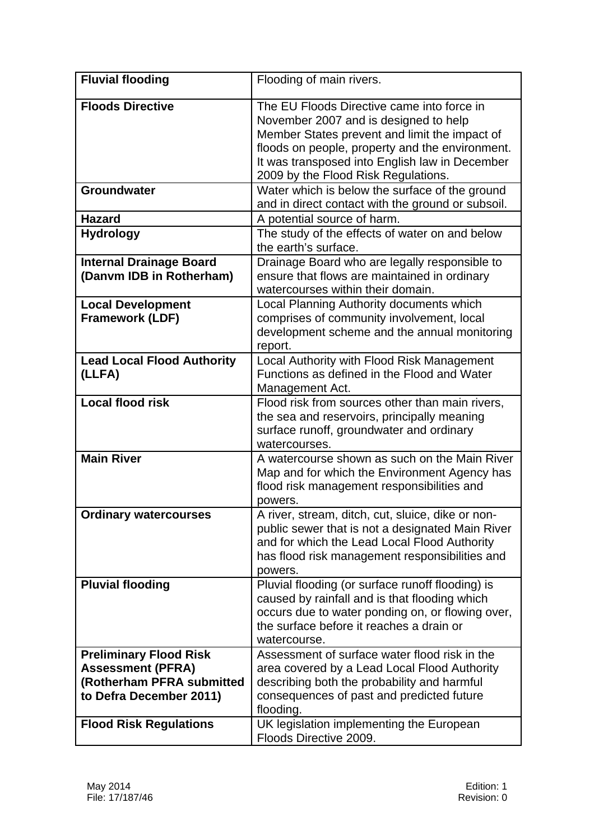| <b>Fluvial flooding</b>                                                                                           | Flooding of main rivers.                                                                                                                                                                                                                                                         |
|-------------------------------------------------------------------------------------------------------------------|----------------------------------------------------------------------------------------------------------------------------------------------------------------------------------------------------------------------------------------------------------------------------------|
| <b>Floods Directive</b>                                                                                           | The EU Floods Directive came into force in<br>November 2007 and is designed to help<br>Member States prevent and limit the impact of<br>floods on people, property and the environment.<br>It was transposed into English law in December<br>2009 by the Flood Risk Regulations. |
| <b>Groundwater</b>                                                                                                | Water which is below the surface of the ground<br>and in direct contact with the ground or subsoil.                                                                                                                                                                              |
| <b>Hazard</b>                                                                                                     | A potential source of harm.                                                                                                                                                                                                                                                      |
| <b>Hydrology</b>                                                                                                  | The study of the effects of water on and below<br>the earth's surface.                                                                                                                                                                                                           |
| <b>Internal Drainage Board</b><br>(Danvm IDB in Rotherham)                                                        | Drainage Board who are legally responsible to<br>ensure that flows are maintained in ordinary<br>watercourses within their domain.                                                                                                                                               |
| <b>Local Development</b><br><b>Framework (LDF)</b>                                                                | Local Planning Authority documents which<br>comprises of community involvement, local<br>development scheme and the annual monitoring<br>report.                                                                                                                                 |
| <b>Lead Local Flood Authority</b><br>(LLFA)                                                                       | Local Authority with Flood Risk Management<br>Functions as defined in the Flood and Water<br>Management Act.                                                                                                                                                                     |
| <b>Local flood risk</b>                                                                                           | Flood risk from sources other than main rivers,<br>the sea and reservoirs, principally meaning<br>surface runoff, groundwater and ordinary<br>watercourses.                                                                                                                      |
| <b>Main River</b>                                                                                                 | A watercourse shown as such on the Main River<br>Map and for which the Environment Agency has<br>flood risk management responsibilities and<br>powers.                                                                                                                           |
| <b>Ordinary watercourses</b>                                                                                      | A river, stream, ditch, cut, sluice, dike or non-<br>public sewer that is not a designated Main River<br>and for which the Lead Local Flood Authority<br>has flood risk management responsibilities and<br>powers.                                                               |
| <b>Pluvial flooding</b>                                                                                           | Pluvial flooding (or surface runoff flooding) is<br>caused by rainfall and is that flooding which<br>occurs due to water ponding on, or flowing over,<br>the surface before it reaches a drain or<br>watercourse.                                                                |
| <b>Preliminary Flood Risk</b><br><b>Assessment (PFRA)</b><br>(Rotherham PFRA submitted<br>to Defra December 2011) | Assessment of surface water flood risk in the<br>area covered by a Lead Local Flood Authority<br>describing both the probability and harmful<br>consequences of past and predicted future<br>flooding.                                                                           |
| <b>Flood Risk Regulations</b>                                                                                     | UK legislation implementing the European<br>Floods Directive 2009.                                                                                                                                                                                                               |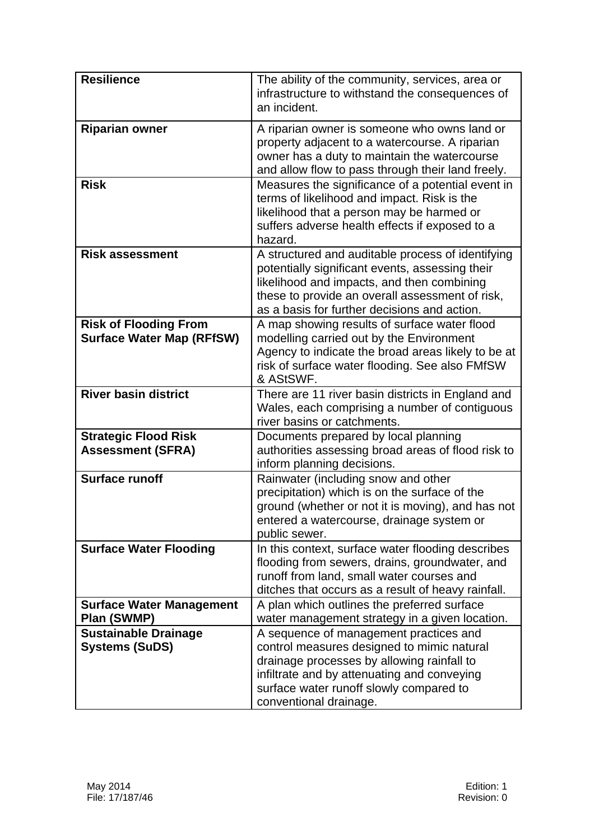| <b>Resilience</b>                                                | The ability of the community, services, area or<br>infrastructure to withstand the consequences of<br>an incident.                                                                                                                                     |
|------------------------------------------------------------------|--------------------------------------------------------------------------------------------------------------------------------------------------------------------------------------------------------------------------------------------------------|
| <b>Riparian owner</b>                                            | A riparian owner is someone who owns land or<br>property adjacent to a watercourse. A riparian<br>owner has a duty to maintain the watercourse<br>and allow flow to pass through their land freely.                                                    |
| <b>Risk</b>                                                      | Measures the significance of a potential event in<br>terms of likelihood and impact. Risk is the<br>likelihood that a person may be harmed or<br>suffers adverse health effects if exposed to a<br>hazard.                                             |
| <b>Risk assessment</b>                                           | A structured and auditable process of identifying<br>potentially significant events, assessing their<br>likelihood and impacts, and then combining<br>these to provide an overall assessment of risk,<br>as a basis for further decisions and action.  |
| <b>Risk of Flooding From</b><br><b>Surface Water Map (RFfSW)</b> | A map showing results of surface water flood<br>modelling carried out by the Environment<br>Agency to indicate the broad areas likely to be at<br>risk of surface water flooding. See also FMfSW<br>& AStSWF.                                          |
| <b>River basin district</b>                                      | There are 11 river basin districts in England and<br>Wales, each comprising a number of contiguous<br>river basins or catchments.                                                                                                                      |
| <b>Strategic Flood Risk</b><br><b>Assessment (SFRA)</b>          | Documents prepared by local planning<br>authorities assessing broad areas of flood risk to<br>inform planning decisions.                                                                                                                               |
| <b>Surface runoff</b>                                            | Rainwater (including snow and other<br>precipitation) which is on the surface of the<br>ground (whether or not it is moving), and has not<br>entered a watercourse, drainage system or<br>public sewer.                                                |
| <b>Surface Water Flooding</b>                                    | In this context, surface water flooding describes<br>flooding from sewers, drains, groundwater, and<br>runoff from land, small water courses and<br>ditches that occurs as a result of heavy rainfall.                                                 |
| <b>Surface Water Management</b><br>Plan (SWMP)                   | A plan which outlines the preferred surface<br>water management strategy in a given location.                                                                                                                                                          |
| <b>Sustainable Drainage</b><br><b>Systems (SuDS)</b>             | A sequence of management practices and<br>control measures designed to mimic natural<br>drainage processes by allowing rainfall to<br>infiltrate and by attenuating and conveying<br>surface water runoff slowly compared to<br>conventional drainage. |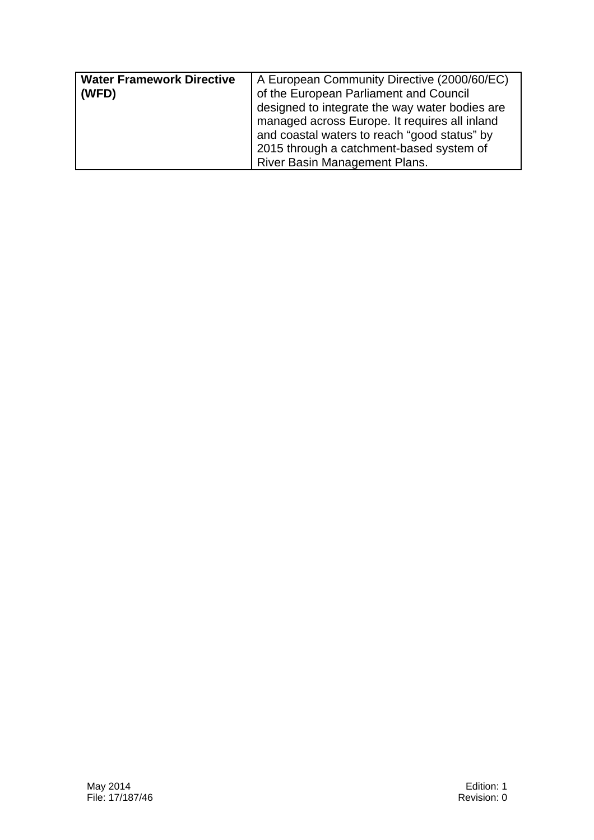| <b>Water Framework Directive</b><br>(WFD) | A European Community Directive (2000/60/EC)<br>of the European Parliament and Council<br>designed to integrate the way water bodies are<br>managed across Europe. It requires all inland |
|-------------------------------------------|------------------------------------------------------------------------------------------------------------------------------------------------------------------------------------------|
|                                           | and coastal waters to reach "good status" by<br>2015 through a catchment-based system of<br><b>River Basin Management Plans.</b>                                                         |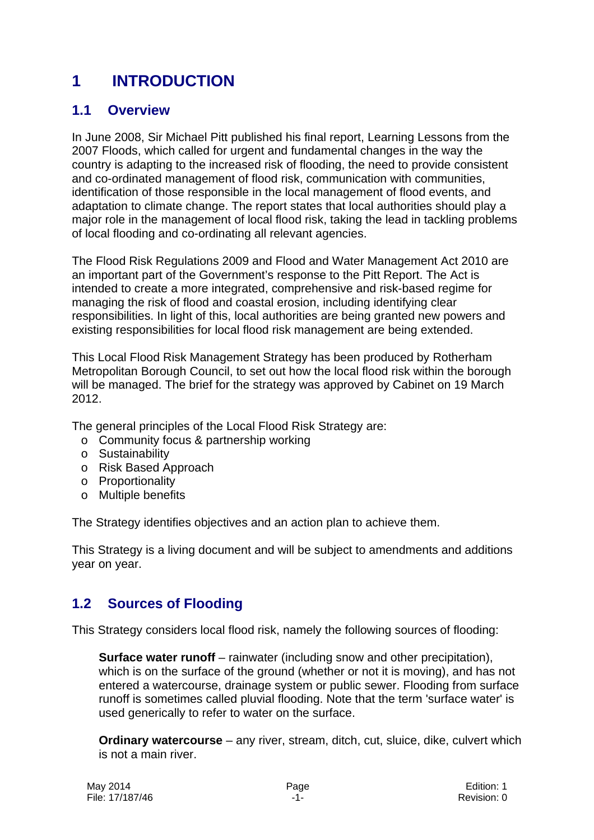# **1 INTRODUCTION**

## **1.1 Overview**

In June 2008, Sir Michael Pitt published his final report, Learning Lessons from the 2007 Floods, which called for urgent and fundamental changes in the way the country is adapting to the increased risk of flooding, the need to provide consistent and co-ordinated management of flood risk, communication with communities, identification of those responsible in the local management of flood events, and adaptation to climate change. The report states that local authorities should play a major role in the management of local flood risk, taking the lead in tackling problems of local flooding and co-ordinating all relevant agencies.

The Flood Risk Regulations 2009 and Flood and Water Management Act 2010 are an important part of the Government's response to the Pitt Report. The Act is intended to create a more integrated, comprehensive and risk-based regime for managing the risk of flood and coastal erosion, including identifying clear responsibilities. In light of this, local authorities are being granted new powers and existing responsibilities for local flood risk management are being extended.

This Local Flood Risk Management Strategy has been produced by Rotherham Metropolitan Borough Council, to set out how the local flood risk within the borough will be managed. The brief for the strategy was approved by Cabinet on 19 March 2012.

The general principles of the Local Flood Risk Strategy are:

- o Community focus & partnership working
- o Sustainability
- o Risk Based Approach
- o Proportionality
- o Multiple benefits

The Strategy identifies objectives and an action plan to achieve them.

This Strategy is a living document and will be subject to amendments and additions year on year.

## **1.2 Sources of Flooding**

This Strategy considers local flood risk, namely the following sources of flooding:

**Surface water runoff** – rainwater (including snow and other precipitation), which is on the surface of the ground (whether or not it is moving), and has not entered a watercourse, drainage system or public sewer. Flooding from surface runoff is sometimes called pluvial flooding. Note that the term 'surface water' is used generically to refer to water on the surface.

**Ordinary watercourse** – any river, stream, ditch, cut, sluice, dike, culvert which is not a main river.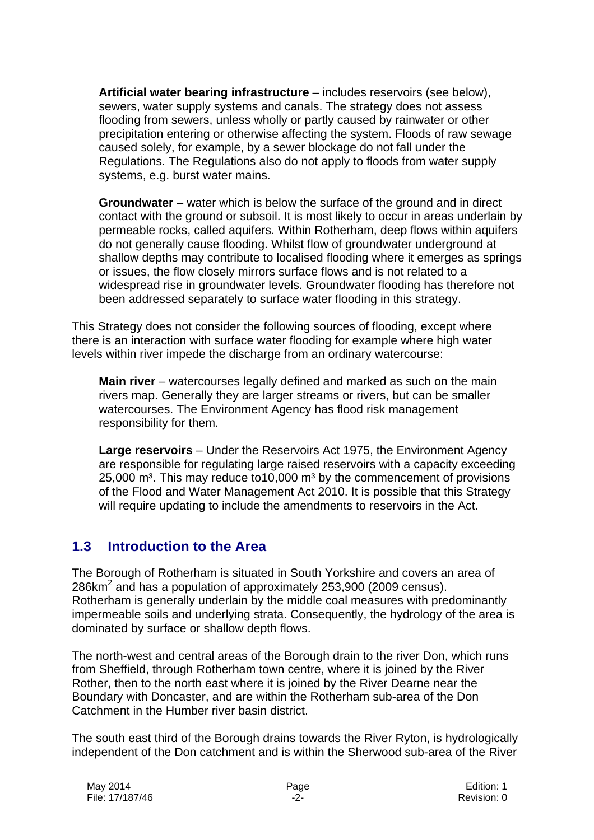**Artificial water bearing infrastructure** – includes reservoirs (see below), sewers, water supply systems and canals. The strategy does not assess flooding from sewers, unless wholly or partly caused by rainwater or other precipitation entering or otherwise affecting the system. Floods of raw sewage caused solely, for example, by a sewer blockage do not fall under the Regulations. The Regulations also do not apply to floods from water supply systems, e.g. burst water mains.

**Groundwater** – water which is below the surface of the ground and in direct contact with the ground or subsoil. It is most likely to occur in areas underlain by permeable rocks, called aquifers. Within Rotherham, deep flows within aquifers do not generally cause flooding. Whilst flow of groundwater underground at shallow depths may contribute to localised flooding where it emerges as springs or issues, the flow closely mirrors surface flows and is not related to a widespread rise in groundwater levels. Groundwater flooding has therefore not been addressed separately to surface water flooding in this strategy.

This Strategy does not consider the following sources of flooding, except where there is an interaction with surface water flooding for example where high water levels within river impede the discharge from an ordinary watercourse:

**Main river** – watercourses legally defined and marked as such on the main rivers map. Generally they are larger streams or rivers, but can be smaller watercourses. The Environment Agency has flood risk management responsibility for them.

**Large reservoirs** – Under the Reservoirs Act 1975, the Environment Agency are responsible for regulating large raised reservoirs with a capacity exceeding  $25,000$  m<sup>3</sup>. This may reduce to 10,000 m<sup>3</sup> by the commencement of provisions of the Flood and Water Management Act 2010. It is possible that this Strategy will require updating to include the amendments to reservoirs in the Act.

# **1.3 Introduction to the Area**

The Borough of Rotherham is situated in South Yorkshire and covers an area of 286km<sup>2</sup> and has a population of approximately 253,900 (2009 census). Rotherham is generally underlain by the middle coal measures with predominantly impermeable soils and underlying strata. Consequently, the hydrology of the area is dominated by surface or shallow depth flows.

The north-west and central areas of the Borough drain to the river Don, which runs from Sheffield, through Rotherham town centre, where it is joined by the River Rother, then to the north east where it is joined by the River Dearne near the Boundary with Doncaster, and are within the Rotherham sub-area of the Don Catchment in the Humber river basin district.

The south east third of the Borough drains towards the River Ryton, is hydrologically independent of the Don catchment and is within the Sherwood sub-area of the River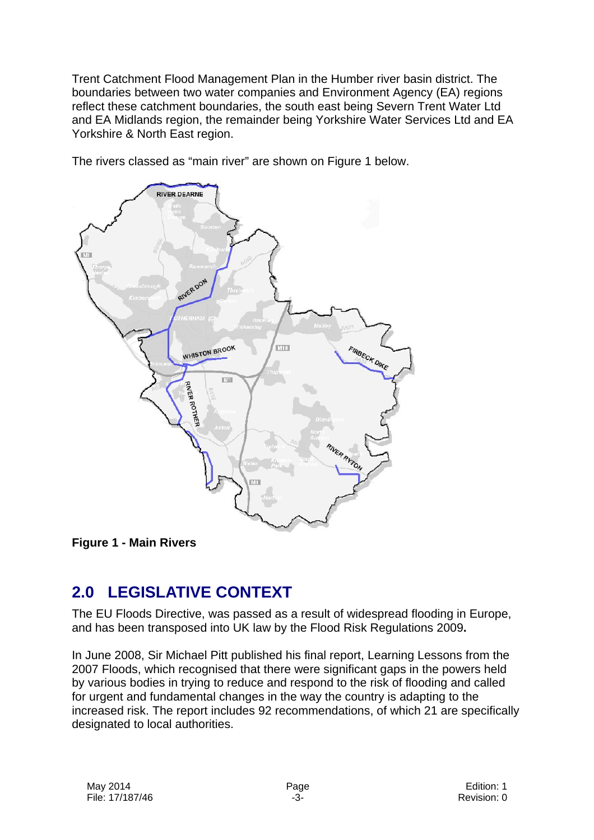Trent Catchment Flood Management Plan in the Humber river basin district. The boundaries between two water companies and Environment Agency (EA) regions reflect these catchment boundaries, the south east being Severn Trent Water Ltd and EA Midlands region, the remainder being Yorkshire Water Services Ltd and EA Yorkshire & North East region.



The rivers classed as "main river" are shown on Figure 1 below.

**Figure 1 - Main Rivers** 

# **2.0 LEGISLATIVE CONTEXT**

The EU Floods Directive, was passed as a result of widespread flooding in Europe, and has been transposed into UK law by the Flood Risk Regulations 2009**.** 

In June 2008, Sir Michael Pitt published his final report, Learning Lessons from the 2007 Floods, which recognised that there were significant gaps in the powers held by various bodies in trying to reduce and respond to the risk of flooding and called for urgent and fundamental changes in the way the country is adapting to the increased risk. The report includes 92 recommendations, of which 21 are specifically designated to local authorities.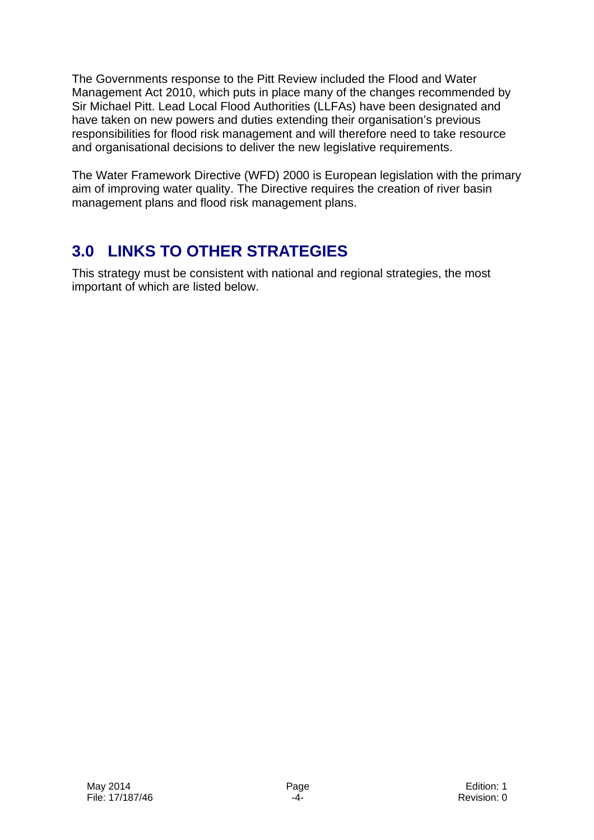The Governments response to the Pitt Review included the Flood and Water Management Act 2010, which puts in place many of the changes recommended by Sir Michael Pitt. Lead Local Flood Authorities (LLFAs) have been designated and have taken on new powers and duties extending their organisation's previous responsibilities for flood risk management and will therefore need to take resource and organisational decisions to deliver the new legislative requirements.

The Water Framework Directive (WFD) 2000 is European legislation with the primary aim of improving water quality. The Directive requires the creation of river basin management plans and flood risk management plans.

# **3.0 LINKS TO OTHER STRATEGIES**

This strategy must be consistent with national and regional strategies, the most important of which are listed below.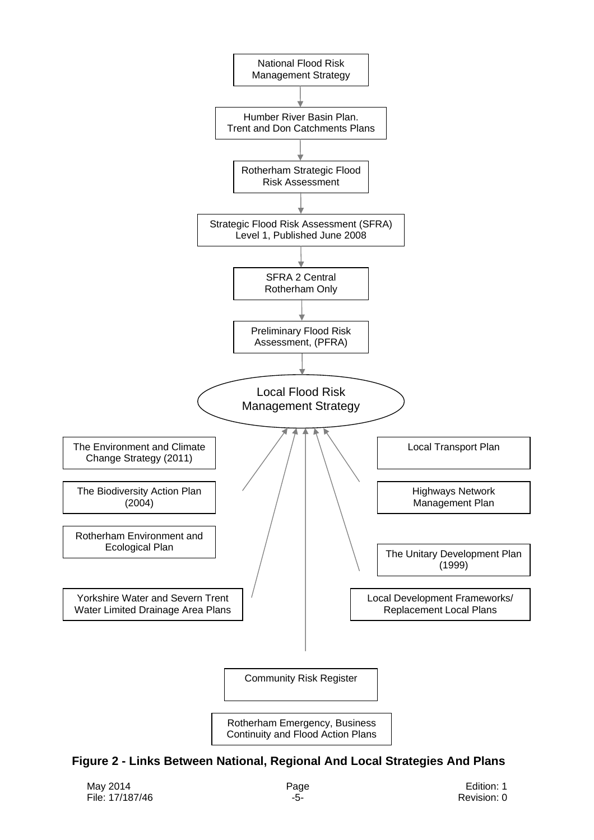

**Figure 2 - Links Between National, Regional And Local Strategies And Plans**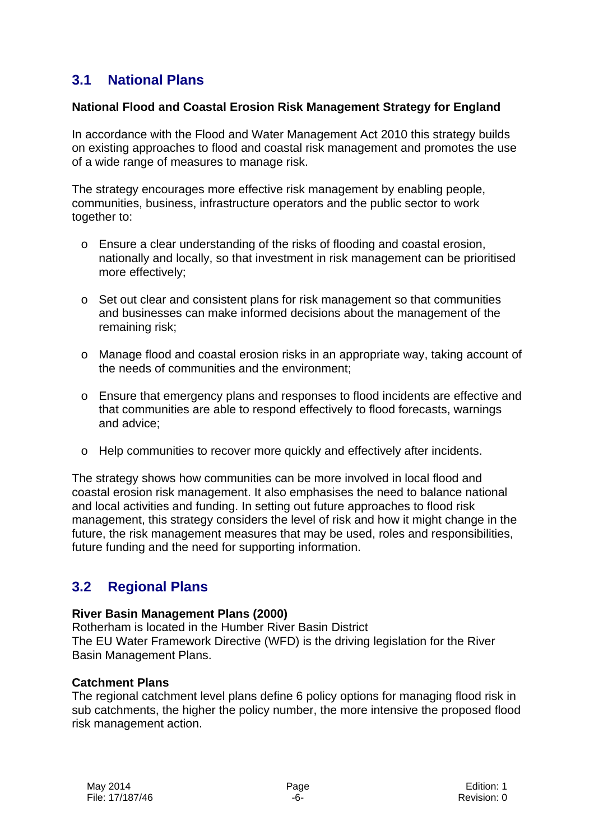## **3.1 National Plans**

#### **National Flood and Coastal Erosion Risk Management Strategy for England**

In accordance with the Flood and Water Management Act 2010 this strategy builds on existing approaches to flood and coastal risk management and promotes the use of a wide range of measures to manage risk.

The strategy encourages more effective risk management by enabling people, communities, business, infrastructure operators and the public sector to work together to:

- o Ensure a clear understanding of the risks of flooding and coastal erosion, nationally and locally, so that investment in risk management can be prioritised more effectively;
- o Set out clear and consistent plans for risk management so that communities and businesses can make informed decisions about the management of the remaining risk;
- o Manage flood and coastal erosion risks in an appropriate way, taking account of the needs of communities and the environment;
- o Ensure that emergency plans and responses to flood incidents are effective and that communities are able to respond effectively to flood forecasts, warnings and advice;
- o Help communities to recover more quickly and effectively after incidents.

The strategy shows how communities can be more involved in local flood and coastal erosion risk management. It also emphasises the need to balance national and local activities and funding. In setting out future approaches to flood risk management, this strategy considers the level of risk and how it might change in the future, the risk management measures that may be used, roles and responsibilities, future funding and the need for supporting information.

## **3.2 Regional Plans**

#### **River Basin Management Plans (2000)**

Rotherham is located in the Humber River Basin District The EU Water Framework Directive (WFD) is the driving legislation for the River Basin Management Plans.

#### **Catchment Plans**

The regional catchment level plans define 6 policy options for managing flood risk in sub catchments, the higher the policy number, the more intensive the proposed flood risk management action.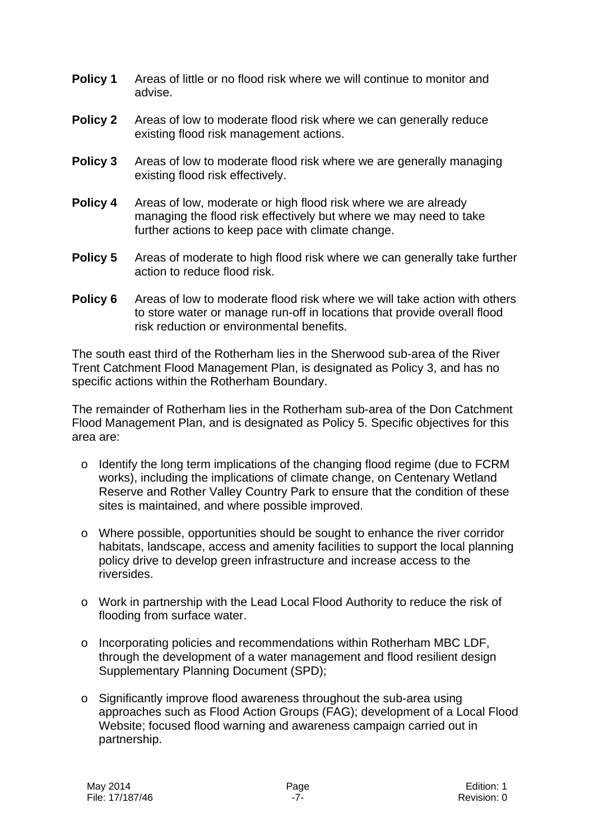- **Policy 1** Areas of little or no flood risk where we will continue to monitor and advise.
- **Policy 2** Areas of low to moderate flood risk where we can generally reduce existing flood risk management actions.
- **Policy 3** Areas of low to moderate flood risk where we are generally managing existing flood risk effectively.
- **Policy 4** Areas of low, moderate or high flood risk where we are already managing the flood risk effectively but where we may need to take further actions to keep pace with climate change.
- **Policy 5** Areas of moderate to high flood risk where we can generally take further action to reduce flood risk.
- **Policy 6** Areas of low to moderate flood risk where we will take action with others to store water or manage run-off in locations that provide overall flood risk reduction or environmental benefits.

The south east third of the Rotherham lies in the Sherwood sub-area of the River Trent Catchment Flood Management Plan, is designated as Policy 3, and has no specific actions within the Rotherham Boundary.

The remainder of Rotherham lies in the Rotherham sub-area of the Don Catchment Flood Management Plan, and is designated as Policy 5. Specific objectives for this area are:

- $\circ$  Identify the long term implications of the changing flood regime (due to FCRM works), including the implications of climate change, on Centenary Wetland Reserve and Rother Valley Country Park to ensure that the condition of these sites is maintained, and where possible improved.
- $\circ$  Where possible, opportunities should be sought to enhance the river corridor habitats, landscape, access and amenity facilities to support the local planning policy drive to develop green infrastructure and increase access to the riversides.
- o Work in partnership with the Lead Local Flood Authority to reduce the risk of flooding from surface water.
- o Incorporating policies and recommendations within Rotherham MBC LDF, through the development of a water management and flood resilient design Supplementary Planning Document (SPD);
- o Significantly improve flood awareness throughout the sub-area using approaches such as Flood Action Groups (FAG); development of a Local Flood Website; focused flood warning and awareness campaign carried out in partnership.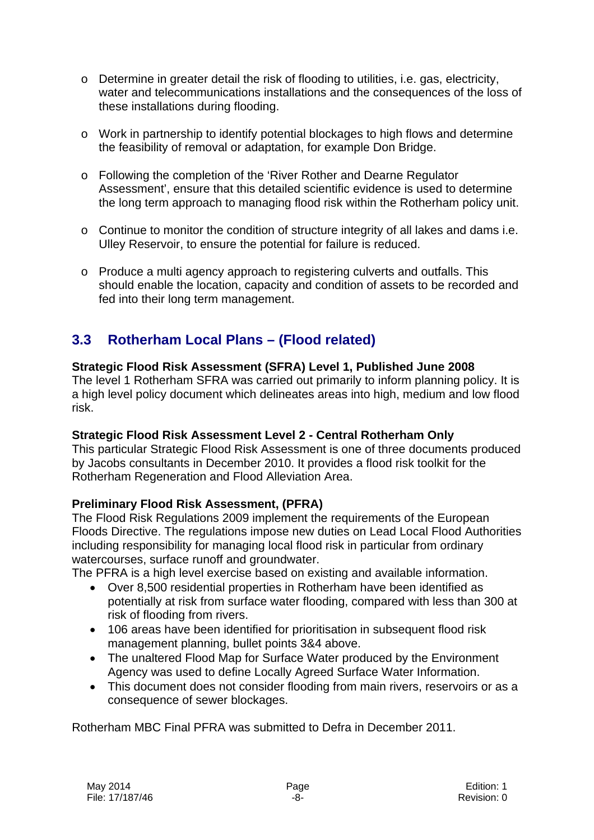- o Determine in greater detail the risk of flooding to utilities, i.e. gas, electricity, water and telecommunications installations and the consequences of the loss of these installations during flooding.
- o Work in partnership to identify potential blockages to high flows and determine the feasibility of removal or adaptation, for example Don Bridge.
- o Following the completion of the 'River Rother and Dearne Regulator Assessment', ensure that this detailed scientific evidence is used to determine the long term approach to managing flood risk within the Rotherham policy unit.
- o Continue to monitor the condition of structure integrity of all lakes and dams i.e. Ulley Reservoir, to ensure the potential for failure is reduced.
- o Produce a multi agency approach to registering culverts and outfalls. This should enable the location, capacity and condition of assets to be recorded and fed into their long term management.

# **3.3 Rotherham Local Plans – (Flood related)**

#### **Strategic Flood Risk Assessment (SFRA) Level 1, Published June 2008**

The level 1 Rotherham SFRA was carried out primarily to inform planning policy. It is a high level policy document which delineates areas into high, medium and low flood risk.

#### **Strategic Flood Risk Assessment Level 2 - Central Rotherham Only**

This particular Strategic Flood Risk Assessment is one of three documents produced by Jacobs consultants in December 2010. It provides a flood risk toolkit for the Rotherham Regeneration and Flood Alleviation Area.

#### **Preliminary Flood Risk Assessment, (PFRA)**

The Flood Risk Regulations 2009 implement the requirements of the European Floods Directive. The regulations impose new duties on Lead Local Flood Authorities including responsibility for managing local flood risk in particular from ordinary watercourses, surface runoff and groundwater.

The PFRA is a high level exercise based on existing and available information.

- Over 8,500 residential properties in Rotherham have been identified as potentially at risk from surface water flooding, compared with less than 300 at risk of flooding from rivers.
- 106 areas have been identified for prioritisation in subsequent flood risk management planning, bullet points 3&4 above.
- The unaltered Flood Map for Surface Water produced by the Environment Agency was used to define Locally Agreed Surface Water Information.
- This document does not consider flooding from main rivers, reservoirs or as a consequence of sewer blockages.

Rotherham MBC Final PFRA was submitted to Defra in December 2011.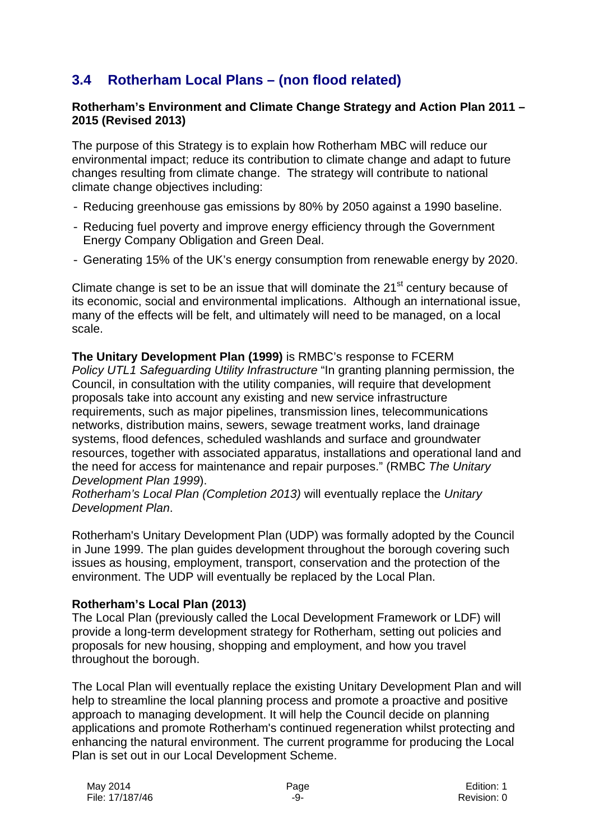# **3.4 Rotherham Local Plans – (non flood related)**

#### **Rotherham's Environment and Climate Change Strategy and Action Plan 2011 – 2015 (Revised 2013)**

The purpose of this Strategy is to explain how Rotherham MBC will reduce our environmental impact; reduce its contribution to climate change and adapt to future changes resulting from climate change. The strategy will contribute to national climate change objectives including:

- Reducing greenhouse gas emissions by 80% by 2050 against a 1990 baseline.
- Reducing fuel poverty and improve energy efficiency through the Government Energy Company Obligation and Green Deal.
- Generating 15% of the UK's energy consumption from renewable energy by 2020.

Climate change is set to be an issue that will dominate the  $21<sup>st</sup>$  century because of its economic, social and environmental implications. Although an international issue, many of the effects will be felt, and ultimately will need to be managed, on a local scale.

**The Unitary Development Plan (1999)** is RMBC's response to FCERM *Policy UTL1 Safeguarding Utility Infrastructure* "In granting planning permission, the Council, in consultation with the utility companies, will require that development proposals take into account any existing and new service infrastructure requirements, such as major pipelines, transmission lines, telecommunications networks, distribution mains, sewers, sewage treatment works, land drainage systems, flood defences, scheduled washlands and surface and groundwater resources, together with associated apparatus, installations and operational land and the need for access for maintenance and repair purposes." (RMBC *The Unitary Development Plan 1999*).

*Rotherham's Local Plan (Completion 2013)* will eventually replace the *Unitary Development Plan*.

Rotherham's Unitary Development Plan (UDP) was formally adopted by the Council in June 1999. The plan guides development throughout the borough covering such issues as housing, employment, transport, conservation and the protection of the environment. The UDP will eventually be replaced by the Local Plan.

#### **Rotherham's Local Plan (2013)**

The Local Plan (previously called the Local Development Framework or LDF) will provide a long-term development strategy for Rotherham, setting out policies and proposals for new housing, shopping and employment, and how you travel throughout the borough.

The Local Plan will eventually replace the existing Unitary Development Plan and will help to streamline the local planning process and promote a proactive and positive approach to managing development. It will help the Council decide on planning applications and promote Rotherham's continued regeneration whilst protecting and enhancing the natural environment. The current programme for producing the Local Plan is set out in our Local Development Scheme.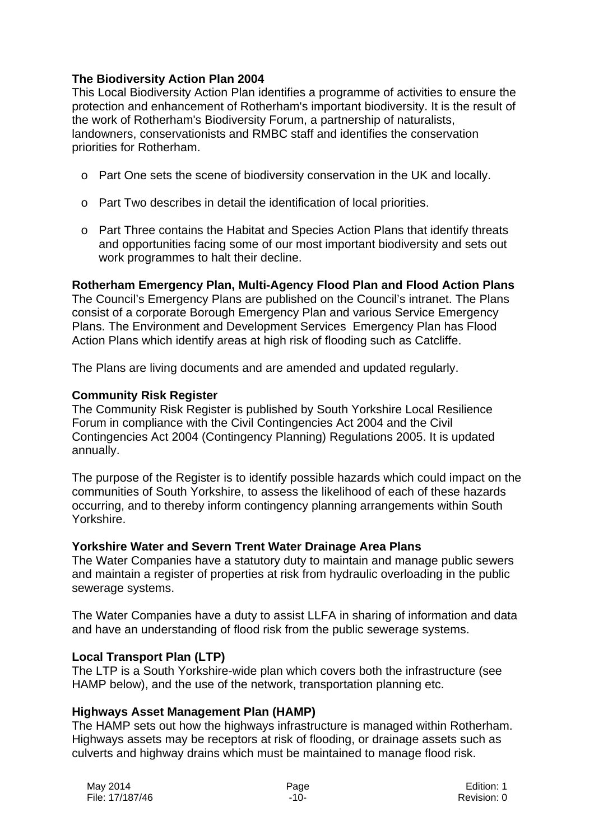#### **The Biodiversity Action Plan 2004**

This Local Biodiversity Action Plan identifies a programme of activities to ensure the protection and enhancement of Rotherham's important biodiversity. It is the result of the work of Rotherham's Biodiversity Forum, a partnership of naturalists, landowners, conservationists and RMBC staff and identifies the conservation priorities for Rotherham.

- o Part One sets the scene of biodiversity conservation in the UK and locally.
- o Part Two describes in detail the identification of local priorities.
- o Part Three contains the Habitat and Species Action Plans that identify threats and opportunities facing some of our most important biodiversity and sets out work programmes to halt their decline.

## **Rotherham Emergency Plan, Multi-Agency Flood Plan and Flood Action Plans**

The Council's Emergency Plans are published on the Council's intranet. The Plans consist of a corporate Borough Emergency Plan and various Service Emergency Plans. The Environment and Development Services Emergency Plan has Flood Action Plans which identify areas at high risk of flooding such as Catcliffe.

The Plans are living documents and are amended and updated regularly.

#### **Community Risk Register**

The Community Risk Register is published by South Yorkshire Local Resilience Forum in compliance with the Civil Contingencies Act 2004 and the Civil Contingencies Act 2004 (Contingency Planning) Regulations 2005. It is updated annually.

The purpose of the Register is to identify possible hazards which could impact on the communities of South Yorkshire, to assess the likelihood of each of these hazards occurring, and to thereby inform contingency planning arrangements within South Yorkshire.

#### **Yorkshire Water and Severn Trent Water Drainage Area Plans**

The Water Companies have a statutory duty to maintain and manage public sewers and maintain a register of properties at risk from hydraulic overloading in the public sewerage systems.

The Water Companies have a duty to assist LLFA in sharing of information and data and have an understanding of flood risk from the public sewerage systems.

#### **Local Transport Plan (LTP)**

The LTP is a South Yorkshire-wide plan which covers both the infrastructure (see HAMP below), and the use of the network, transportation planning etc.

#### **Highways Asset Management Plan (HAMP)**

The HAMP sets out how the highways infrastructure is managed within Rotherham. Highways assets may be receptors at risk of flooding, or drainage assets such as culverts and highway drains which must be maintained to manage flood risk.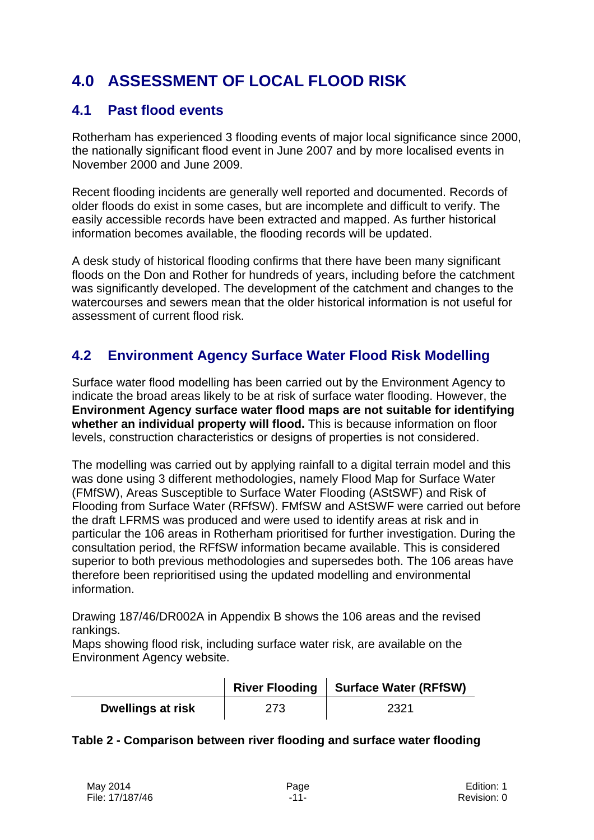# **4.0 ASSESSMENT OF LOCAL FLOOD RISK**

## **4.1 Past flood events**

Rotherham has experienced 3 flooding events of major local significance since 2000, the nationally significant flood event in June 2007 and by more localised events in November 2000 and June 2009.

Recent flooding incidents are generally well reported and documented. Records of older floods do exist in some cases, but are incomplete and difficult to verify. The easily accessible records have been extracted and mapped. As further historical information becomes available, the flooding records will be updated.

A desk study of historical flooding confirms that there have been many significant floods on the Don and Rother for hundreds of years, including before the catchment was significantly developed. The development of the catchment and changes to the watercourses and sewers mean that the older historical information is not useful for assessment of current flood risk.

# **4.2 Environment Agency Surface Water Flood Risk Modelling**

Surface water flood modelling has been carried out by the Environment Agency to indicate the broad areas likely to be at risk of surface water flooding. However, the **Environment Agency surface water flood maps are not suitable for identifying whether an individual property will flood.** This is because information on floor levels, construction characteristics or designs of properties is not considered.

The modelling was carried out by applying rainfall to a digital terrain model and this was done using 3 different methodologies, namely Flood Map for Surface Water (FMfSW), Areas Susceptible to Surface Water Flooding (AStSWF) and Risk of Flooding from Surface Water (RFfSW). FMfSW and AStSWF were carried out before the draft LFRMS was produced and were used to identify areas at risk and in particular the 106 areas in Rotherham prioritised for further investigation. During the consultation period, the RFfSW information became available. This is considered superior to both previous methodologies and supersedes both. The 106 areas have therefore been reprioritised using the updated modelling and environmental information.

Drawing 187/46/DR002A in Appendix B shows the 106 areas and the revised rankings.

Maps showing flood risk, including surface water risk, are available on the Environment Agency website.

|                          | <b>River Flooding</b> | <b>Surface Water (RFfSW)</b> |
|--------------------------|-----------------------|------------------------------|
| <b>Dwellings at risk</b> | 273                   | 2321                         |

#### **Table 2 - Comparison between river flooding and surface water flooding**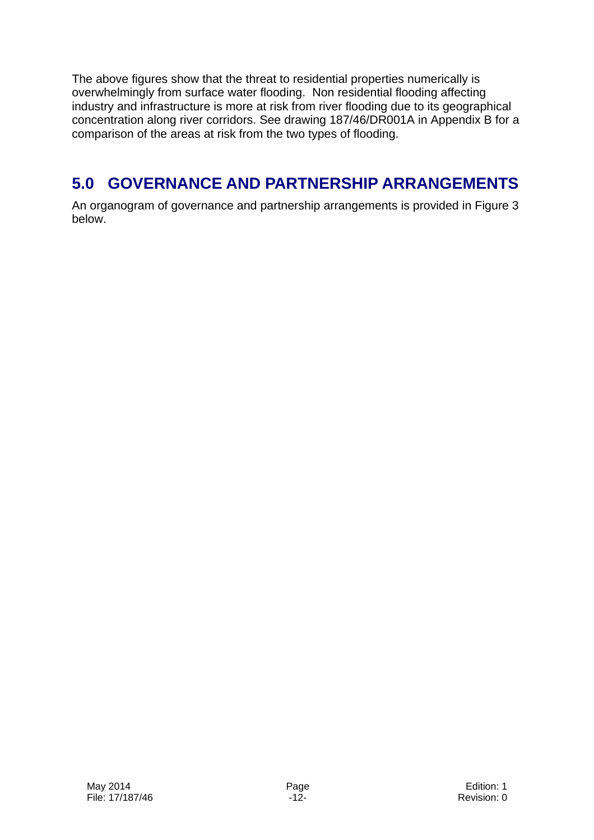The above figures show that the threat to residential properties numerically is overwhelmingly from surface water flooding. Non residential flooding affecting industry and infrastructure is more at risk from river flooding due to its geographical concentration along river corridors. See drawing 187/46/DR001A in Appendix B for a comparison of the areas at risk from the two types of flooding.

# **5.0 GOVERNANCE AND PARTNERSHIP ARRANGEMENTS**

An organogram of governance and partnership arrangements is provided in Figure 3 below.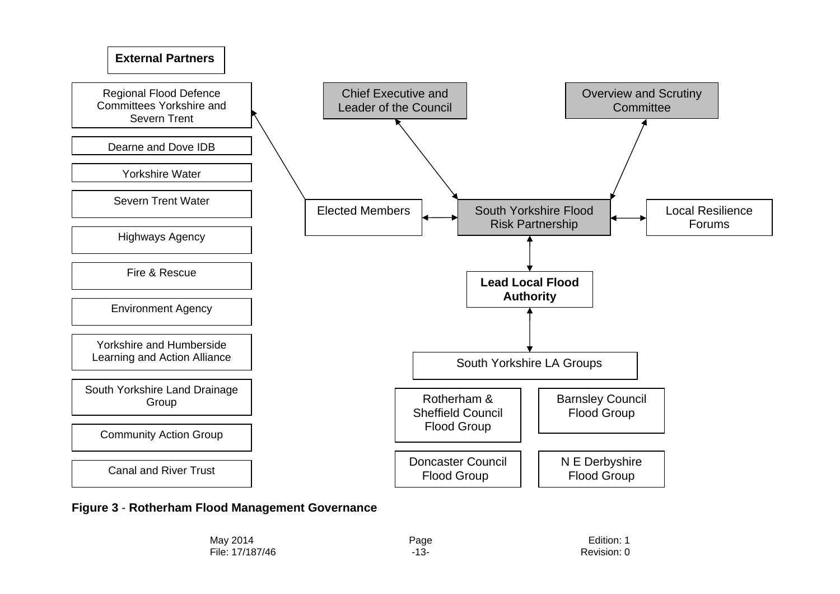

**Figure 3** - **Rotherham Flood Management Governance**

| May 2014        | Page | Edition: 1  |
|-----------------|------|-------------|
| File: 17/187/46 | -13- | Revision: 0 |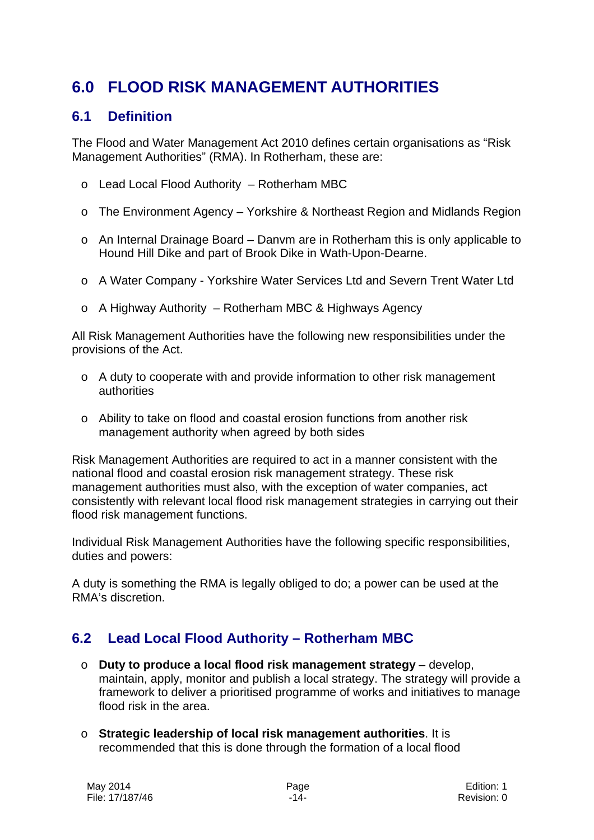# **6.0 FLOOD RISK MANAGEMENT AUTHORITIES**

## **6.1 Definition**

The Flood and Water Management Act 2010 defines certain organisations as "Risk Management Authorities" (RMA). In Rotherham, these are:

- o Lead Local Flood Authority Rotherham MBC
- o The Environment Agency Yorkshire & Northeast Region and Midlands Region
- o An Internal Drainage Board Danvm are in Rotherham this is only applicable to Hound Hill Dike and part of Brook Dike in Wath-Upon-Dearne.
- o A Water Company Yorkshire Water Services Ltd and Severn Trent Water Ltd
- o A Highway Authority Rotherham MBC & Highways Agency

All Risk Management Authorities have the following new responsibilities under the provisions of the Act.

- o A duty to cooperate with and provide information to other risk management authorities
- o Ability to take on flood and coastal erosion functions from another risk management authority when agreed by both sides

Risk Management Authorities are required to act in a manner consistent with the national flood and coastal erosion risk management strategy. These risk management authorities must also, with the exception of water companies, act consistently with relevant local flood risk management strategies in carrying out their flood risk management functions.

Individual Risk Management Authorities have the following specific responsibilities, duties and powers:

A duty is something the RMA is legally obliged to do; a power can be used at the RMA's discretion.

# **6.2 Lead Local Flood Authority – Rotherham MBC**

- o **Duty to produce a local flood risk management strategy**  develop, maintain, apply, monitor and publish a local strategy. The strategy will provide a framework to deliver a prioritised programme of works and initiatives to manage flood risk in the area.
- o **Strategic leadership of local risk management authorities**. It is recommended that this is done through the formation of a local flood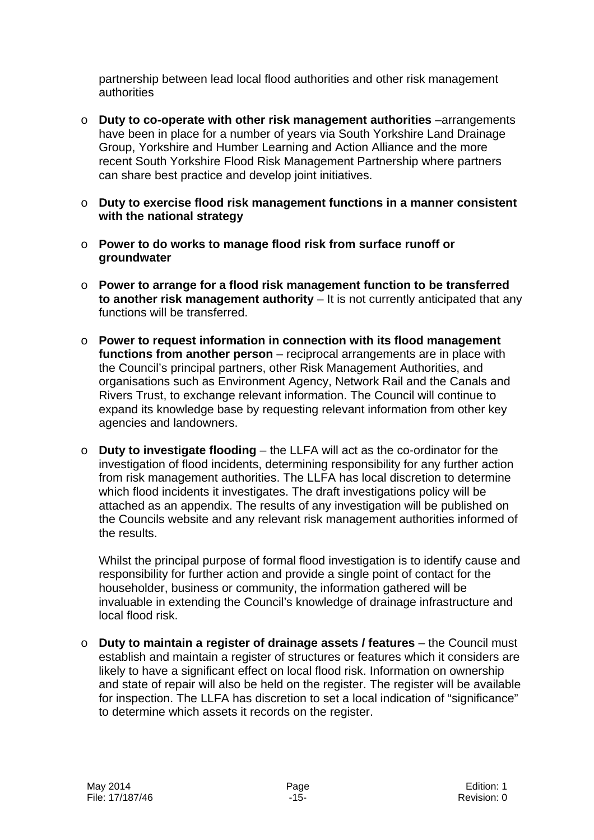partnership between lead local flood authorities and other risk management authorities

- o **Duty to co-operate with other risk management authorities** –arrangements have been in place for a number of years via South Yorkshire Land Drainage Group, Yorkshire and Humber Learning and Action Alliance and the more recent South Yorkshire Flood Risk Management Partnership where partners can share best practice and develop joint initiatives.
- o **Duty to exercise flood risk management functions in a manner consistent with the national strategy**
- o **Power to do works to manage flood risk from surface runoff or groundwater**
- o **Power to arrange for a flood risk management function to be transferred to another risk management authority** – It is not currently anticipated that any functions will be transferred.
- o **Power to request information in connection with its flood management functions from another person** – reciprocal arrangements are in place with the Council's principal partners, other Risk Management Authorities, and organisations such as Environment Agency, Network Rail and the Canals and Rivers Trust, to exchange relevant information. The Council will continue to expand its knowledge base by requesting relevant information from other key agencies and landowners.
- o **Duty to investigate flooding**  the LLFA will act as the co-ordinator for the investigation of flood incidents, determining responsibility for any further action from risk management authorities. The LLFA has local discretion to determine which flood incidents it investigates. The draft investigations policy will be attached as an appendix. The results of any investigation will be published on the Councils website and any relevant risk management authorities informed of the results.

Whilst the principal purpose of formal flood investigation is to identify cause and responsibility for further action and provide a single point of contact for the householder, business or community, the information gathered will be invaluable in extending the Council's knowledge of drainage infrastructure and local flood risk.

o **Duty to maintain a register of drainage assets / features** – the Council must establish and maintain a register of structures or features which it considers are likely to have a significant effect on local flood risk. Information on ownership and state of repair will also be held on the register. The register will be available for inspection. The LLFA has discretion to set a local indication of "significance" to determine which assets it records on the register.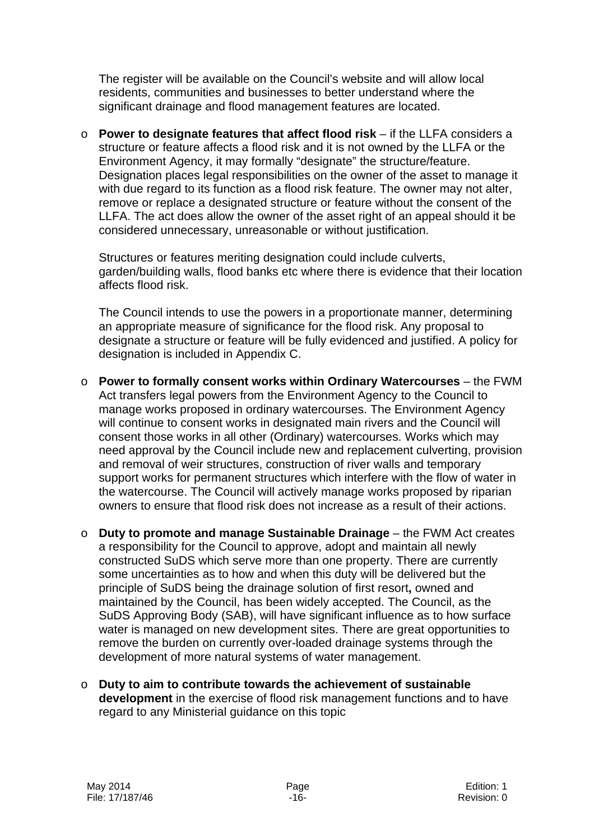The register will be available on the Council's website and will allow local residents, communities and businesses to better understand where the significant drainage and flood management features are located.

o **Power to designate features that affect flood risk** – if the LLFA considers a structure or feature affects a flood risk and it is not owned by the LLFA or the Environment Agency, it may formally "designate" the structure/feature. Designation places legal responsibilities on the owner of the asset to manage it with due regard to its function as a flood risk feature. The owner may not alter, remove or replace a designated structure or feature without the consent of the LLFA. The act does allow the owner of the asset right of an appeal should it be considered unnecessary, unreasonable or without justification.

Structures or features meriting designation could include culverts, garden/building walls, flood banks etc where there is evidence that their location affects flood risk.

The Council intends to use the powers in a proportionate manner, determining an appropriate measure of significance for the flood risk. Any proposal to designate a structure or feature will be fully evidenced and justified. A policy for designation is included in Appendix C.

- o **Power to formally consent works within Ordinary Watercourses**  the FWM Act transfers legal powers from the Environment Agency to the Council to manage works proposed in ordinary watercourses. The Environment Agency will continue to consent works in designated main rivers and the Council will consent those works in all other (Ordinary) watercourses. Works which may need approval by the Council include new and replacement culverting, provision and removal of weir structures, construction of river walls and temporary support works for permanent structures which interfere with the flow of water in the watercourse. The Council will actively manage works proposed by riparian owners to ensure that flood risk does not increase as a result of their actions.
- o **Duty to promote and manage Sustainable Drainage**  the FWM Act creates a responsibility for the Council to approve, adopt and maintain all newly constructed SuDS which serve more than one property. There are currently some uncertainties as to how and when this duty will be delivered but the principle of SuDS being the drainage solution of first resort**,** owned and maintained by the Council, has been widely accepted. The Council, as the SuDS Approving Body (SAB), will have significant influence as to how surface water is managed on new development sites. There are great opportunities to remove the burden on currently over-loaded drainage systems through the development of more natural systems of water management.
- o **Duty to aim to contribute towards the achievement of sustainable development** in the exercise of flood risk management functions and to have regard to any Ministerial guidance on this topic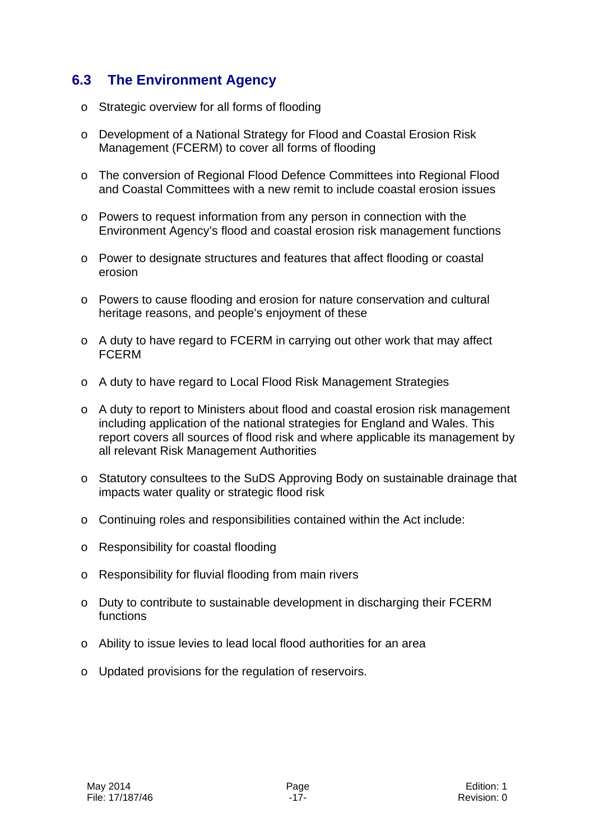## **6.3 The Environment Agency**

- o Strategic overview for all forms of flooding
- o Development of a National Strategy for Flood and Coastal Erosion Risk Management (FCERM) to cover all forms of flooding
- o The conversion of Regional Flood Defence Committees into Regional Flood and Coastal Committees with a new remit to include coastal erosion issues
- o Powers to request information from any person in connection with the Environment Agency's flood and coastal erosion risk management functions
- o Power to designate structures and features that affect flooding or coastal erosion
- o Powers to cause flooding and erosion for nature conservation and cultural heritage reasons, and people's enjoyment of these
- o A duty to have regard to FCERM in carrying out other work that may affect FCERM
- o A duty to have regard to Local Flood Risk Management Strategies
- o A duty to report to Ministers about flood and coastal erosion risk management including application of the national strategies for England and Wales. This report covers all sources of flood risk and where applicable its management by all relevant Risk Management Authorities
- o Statutory consultees to the SuDS Approving Body on sustainable drainage that impacts water quality or strategic flood risk
- o Continuing roles and responsibilities contained within the Act include:
- o Responsibility for coastal flooding
- o Responsibility for fluvial flooding from main rivers
- o Duty to contribute to sustainable development in discharging their FCERM functions
- o Ability to issue levies to lead local flood authorities for an area
- o Updated provisions for the regulation of reservoirs.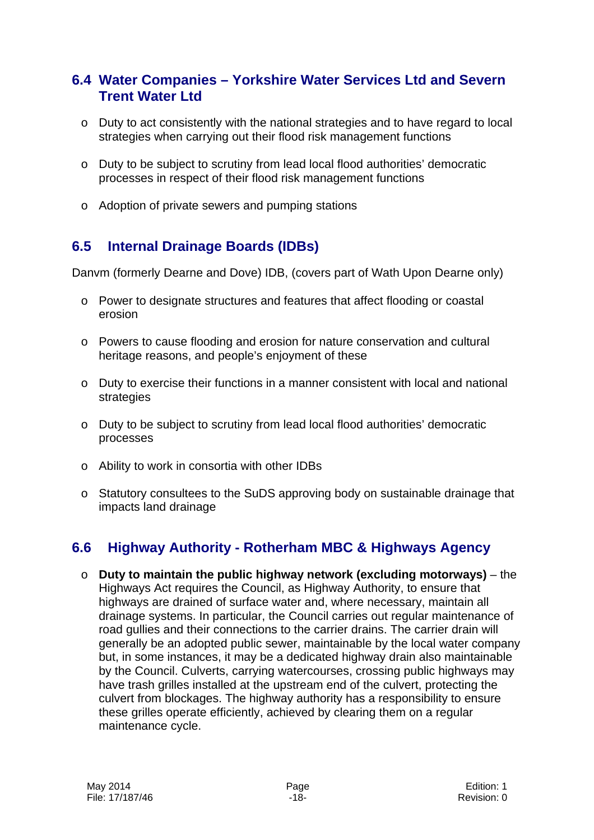## **6.4 Water Companies – Yorkshire Water Services Ltd and Severn Trent Water Ltd**

- o Duty to act consistently with the national strategies and to have regard to local strategies when carrying out their flood risk management functions
- o Duty to be subject to scrutiny from lead local flood authorities' democratic processes in respect of their flood risk management functions
- o Adoption of private sewers and pumping stations

# **6.5 Internal Drainage Boards (IDBs)**

Danvm (formerly Dearne and Dove) IDB, (covers part of Wath Upon Dearne only)

- o Power to designate structures and features that affect flooding or coastal erosion
- o Powers to cause flooding and erosion for nature conservation and cultural heritage reasons, and people's enjoyment of these
- $\circ$  Duty to exercise their functions in a manner consistent with local and national strategies
- o Duty to be subject to scrutiny from lead local flood authorities' democratic processes
- o Ability to work in consortia with other IDBs
- o Statutory consultees to the SuDS approving body on sustainable drainage that impacts land drainage

# **6.6 Highway Authority - Rotherham MBC & Highways Agency**

o **Duty to maintain the public highway network (excluding motorways)** – the Highways Act requires the Council, as Highway Authority, to ensure that highways are drained of surface water and, where necessary, maintain all drainage systems. In particular, the Council carries out regular maintenance of road gullies and their connections to the carrier drains. The carrier drain will generally be an adopted public sewer, maintainable by the local water company but, in some instances, it may be a dedicated highway drain also maintainable by the Council. Culverts, carrying watercourses, crossing public highways may have trash grilles installed at the upstream end of the culvert, protecting the culvert from blockages. The highway authority has a responsibility to ensure these grilles operate efficiently, achieved by clearing them on a regular maintenance cycle.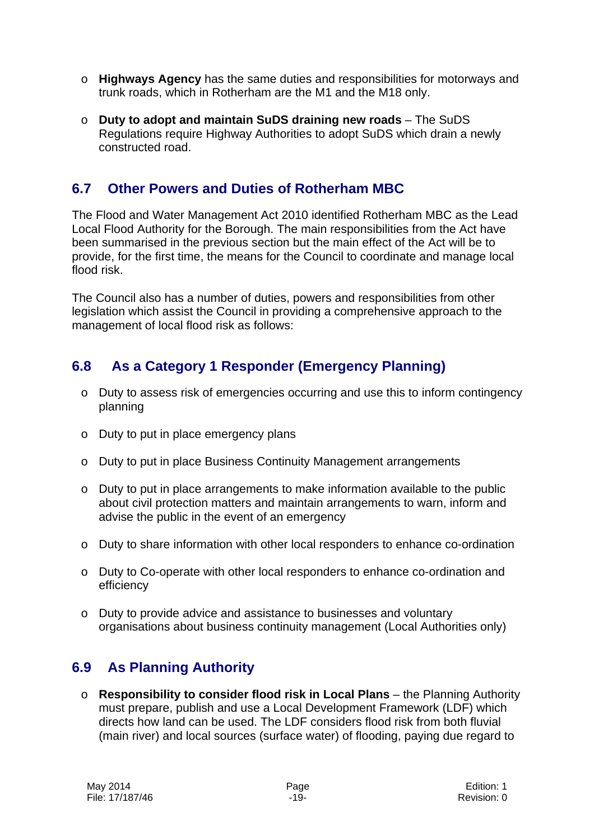- o **Highways Agency** has the same duties and responsibilities for motorways and trunk roads, which in Rotherham are the M1 and the M18 only.
- o **Duty to adopt and maintain SuDS draining new roads**  The SuDS Regulations require Highway Authorities to adopt SuDS which drain a newly constructed road.

## **6.7 Other Powers and Duties of Rotherham MBC**

The Flood and Water Management Act 2010 identified Rotherham MBC as the Lead Local Flood Authority for the Borough. The main responsibilities from the Act have been summarised in the previous section but the main effect of the Act will be to provide, for the first time, the means for the Council to coordinate and manage local flood risk.

The Council also has a number of duties, powers and responsibilities from other legislation which assist the Council in providing a comprehensive approach to the management of local flood risk as follows:

# **6.8 As a Category 1 Responder (Emergency Planning)**

- o Duty to assess risk of emergencies occurring and use this to inform contingency planning
- o Duty to put in place emergency plans
- o Duty to put in place Business Continuity Management arrangements
- o Duty to put in place arrangements to make information available to the public about civil protection matters and maintain arrangements to warn, inform and advise the public in the event of an emergency
- o Duty to share information with other local responders to enhance co-ordination
- o Duty to Co-operate with other local responders to enhance co-ordination and efficiency
- o Duty to provide advice and assistance to businesses and voluntary organisations about business continuity management (Local Authorities only)

# **6.9 As Planning Authority**

o **Responsibility to consider flood risk in Local Plans** – the Planning Authority must prepare, publish and use a Local Development Framework (LDF) which directs how land can be used. The LDF considers flood risk from both fluvial (main river) and local sources (surface water) of flooding, paying due regard to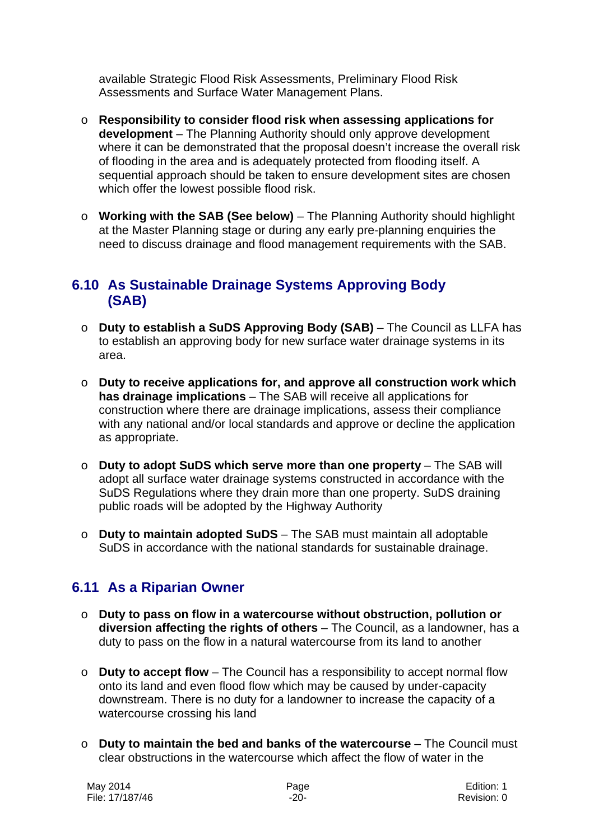available Strategic Flood Risk Assessments, Preliminary Flood Risk Assessments and Surface Water Management Plans.

- o **Responsibility to consider flood risk when assessing applications for development** – The Planning Authority should only approve development where it can be demonstrated that the proposal doesn't increase the overall risk of flooding in the area and is adequately protected from flooding itself. A sequential approach should be taken to ensure development sites are chosen which offer the lowest possible flood risk.
- o **Working with the SAB (See below)**  The Planning Authority should highlight at the Master Planning stage or during any early pre-planning enquiries the need to discuss drainage and flood management requirements with the SAB.

## **6.10 As Sustainable Drainage Systems Approving Body (SAB)**

- o **Duty to establish a SuDS Approving Body (SAB)**  The Council as LLFA has to establish an approving body for new surface water drainage systems in its area.
- o **Duty to receive applications for, and approve all construction work which has drainage implications** – The SAB will receive all applications for construction where there are drainage implications, assess their compliance with any national and/or local standards and approve or decline the application as appropriate.
- o **Duty to adopt SuDS which serve more than one property**  The SAB will adopt all surface water drainage systems constructed in accordance with the SuDS Regulations where they drain more than one property. SuDS draining public roads will be adopted by the Highway Authority
- o **Duty to maintain adopted SuDS**  The SAB must maintain all adoptable SuDS in accordance with the national standards for sustainable drainage.

# **6.11 As a Riparian Owner**

- o **Duty to pass on flow in a watercourse without obstruction, pollution or diversion affecting the rights of others** – The Council, as a landowner, has a duty to pass on the flow in a natural watercourse from its land to another
- o **Duty to accept flow**  The Council has a responsibility to accept normal flow onto its land and even flood flow which may be caused by under-capacity downstream. There is no duty for a landowner to increase the capacity of a watercourse crossing his land
- o **Duty to maintain the bed and banks of the watercourse**  The Council must clear obstructions in the watercourse which affect the flow of water in the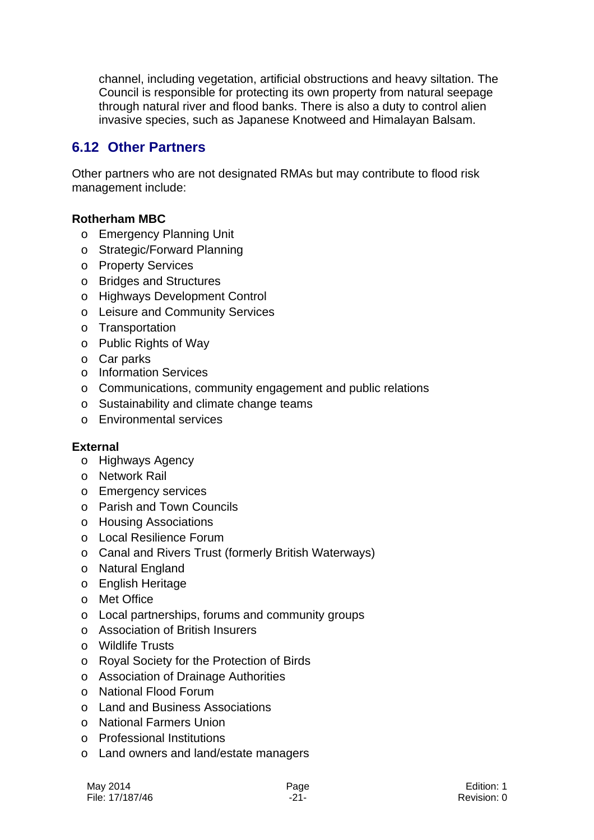channel, including vegetation, artificial obstructions and heavy siltation. The Council is responsible for protecting its own property from natural seepage through natural river and flood banks. There is also a duty to control alien invasive species, such as Japanese Knotweed and Himalayan Balsam.

## **6.12 Other Partners**

Other partners who are not designated RMAs but may contribute to flood risk management include:

## **Rotherham MBC**

- o Emergency Planning Unit
- o Strategic/Forward Planning
- o Property Services
- o Bridges and Structures
- o Highways Development Control
- o Leisure and Community Services
- o Transportation
- o Public Rights of Way
- o Car parks
- o Information Services
- o Communications, community engagement and public relations
- o Sustainability and climate change teams
- o Environmental services

#### **External**

- o Highways Agency
- o Network Rail
- o Emergency services
- o Parish and Town Councils
- o Housing Associations
- o Local Resilience Forum
- o Canal and Rivers Trust (formerly British Waterways)
- o Natural England
- o English Heritage
- o Met Office
- o Local partnerships, forums and community groups
- o Association of British Insurers
- o Wildlife Trusts
- o Royal Society for the Protection of Birds
- o Association of Drainage Authorities
- o National Flood Forum
- o Land and Business Associations
- o National Farmers Union
- o Professional Institutions
- o Land owners and land/estate managers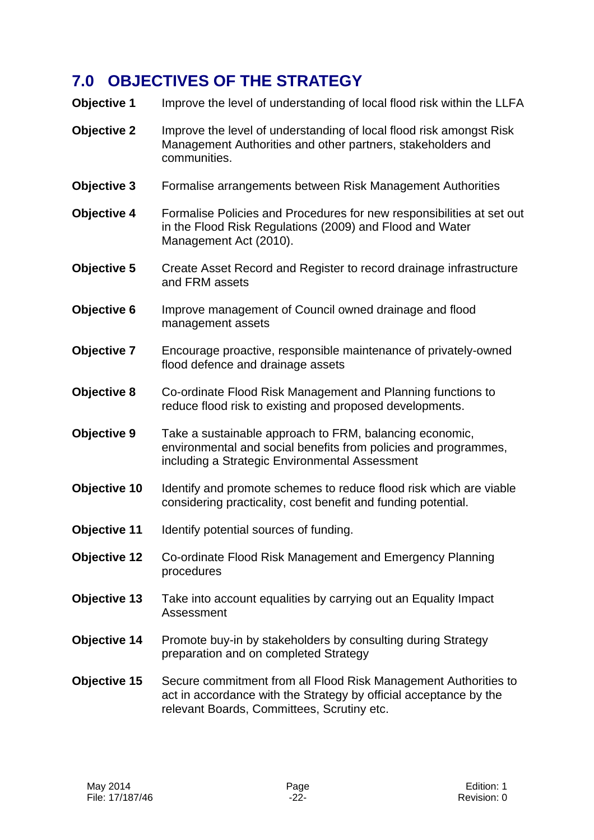# **7.0 OBJECTIVES OF THE STRATEGY**

**Objective 1** Improve the level of understanding of local flood risk within the LLFA

- **Objective 2** Improve the level of understanding of local flood risk amongst Risk Management Authorities and other partners, stakeholders and communities.
- **Objective 3** Formalise arrangements between Risk Management Authorities
- **Objective 4** Formalise Policies and Procedures for new responsibilities at set out in the Flood Risk Regulations (2009) and Flood and Water Management Act (2010).
- **Objective 5** Create Asset Record and Register to record drainage infrastructure and FRM assets
- **Objective 6** Improve management of Council owned drainage and flood management assets
- **Objective 7** Encourage proactive, responsible maintenance of privately-owned flood defence and drainage assets
- **Objective 8** Co-ordinate Flood Risk Management and Planning functions to reduce flood risk to existing and proposed developments.
- **Objective 9** Take a sustainable approach to FRM, balancing economic, environmental and social benefits from policies and programmes, including a Strategic Environmental Assessment
- **Objective 10** Identify and promote schemes to reduce flood risk which are viable considering practicality, cost benefit and funding potential.
- **Objective 11** Identify potential sources of funding.
- **Objective 12** Co-ordinate Flood Risk Management and Emergency Planning procedures
- **Objective 13** Take into account equalities by carrying out an Equality Impact Assessment
- **Objective 14** Promote buy-in by stakeholders by consulting during Strategy preparation and on completed Strategy
- **Objective 15** Secure commitment from all Flood Risk Management Authorities to act in accordance with the Strategy by official acceptance by the relevant Boards, Committees, Scrutiny etc.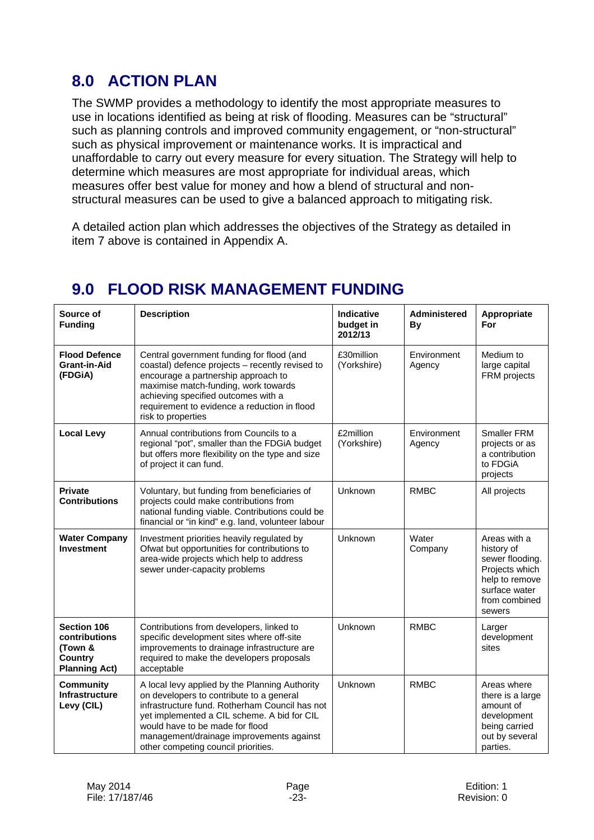# **8.0 ACTION PLAN**

The SWMP provides a methodology to identify the most appropriate measures to use in locations identified as being at risk of flooding. Measures can be "structural" such as planning controls and improved community engagement, or "non-structural" such as physical improvement or maintenance works. It is impractical and unaffordable to carry out every measure for every situation. The Strategy will help to determine which measures are most appropriate for individual areas, which measures offer best value for money and how a blend of structural and nonstructural measures can be used to give a balanced approach to mitigating risk.

A detailed action plan which addresses the objectives of the Strategy as detailed in item 7 above is contained in Appendix A.

| Source of<br><b>Funding</b>                                                       | <b>Description</b>                                                                                                                                                                                                                                                                                                | Indicative<br>budget in<br>2012/13 | Administered<br>By    | Appropriate<br>For                                                                                                            |
|-----------------------------------------------------------------------------------|-------------------------------------------------------------------------------------------------------------------------------------------------------------------------------------------------------------------------------------------------------------------------------------------------------------------|------------------------------------|-----------------------|-------------------------------------------------------------------------------------------------------------------------------|
| <b>Flood Defence</b><br>Grant-in-Aid<br>(FDGIA)                                   | Central government funding for flood (and<br>coastal) defence projects - recently revised to<br>encourage a partnership approach to<br>maximise match-funding, work towards<br>achieving specified outcomes with a<br>requirement to evidence a reduction in flood<br>risk to properties                          | £30million<br>(Yorkshire)          | Environment<br>Agency | Medium to<br>large capital<br>FRM projects                                                                                    |
| <b>Local Levy</b>                                                                 | Annual contributions from Councils to a<br>regional "pot", smaller than the FDGiA budget<br>but offers more flexibility on the type and size<br>of project it can fund.                                                                                                                                           | £2million<br>(Yorkshire)           | Environment<br>Agency | Smaller FRM<br>projects or as<br>a contribution<br>to FDGiA<br>projects                                                       |
| <b>Private</b><br><b>Contributions</b>                                            | Voluntary, but funding from beneficiaries of<br>projects could make contributions from<br>national funding viable. Contributions could be<br>financial or "in kind" e.g. land, volunteer labour                                                                                                                   | Unknown                            | <b>RMBC</b>           | All projects                                                                                                                  |
| <b>Water Company</b><br><b>Investment</b>                                         | Investment priorities heavily regulated by<br>Ofwat but opportunities for contributions to<br>area-wide projects which help to address<br>sewer under-capacity problems                                                                                                                                           | Unknown                            | Water<br>Company      | Areas with a<br>history of<br>sewer flooding.<br>Projects which<br>help to remove<br>surface water<br>from combined<br>sewers |
| <b>Section 106</b><br>contributions<br>(Town &<br>Country<br><b>Planning Act)</b> | Contributions from developers, linked to<br>specific development sites where off-site<br>improvements to drainage infrastructure are<br>required to make the developers proposals<br>acceptable                                                                                                                   | Unknown                            | <b>RMBC</b>           | Larger<br>development<br>sites                                                                                                |
| <b>Community</b><br><b>Infrastructure</b><br>Levy (CIL)                           | A local levy applied by the Planning Authority<br>on developers to contribute to a general<br>infrastructure fund. Rotherham Council has not<br>yet implemented a CIL scheme. A bid for CIL<br>would have to be made for flood<br>management/drainage improvements against<br>other competing council priorities. | Unknown                            | <b>RMBC</b>           | Areas where<br>there is a large<br>amount of<br>development<br>being carried<br>out by several<br>parties.                    |

# **9.0 FLOOD RISK MANAGEMENT FUNDING**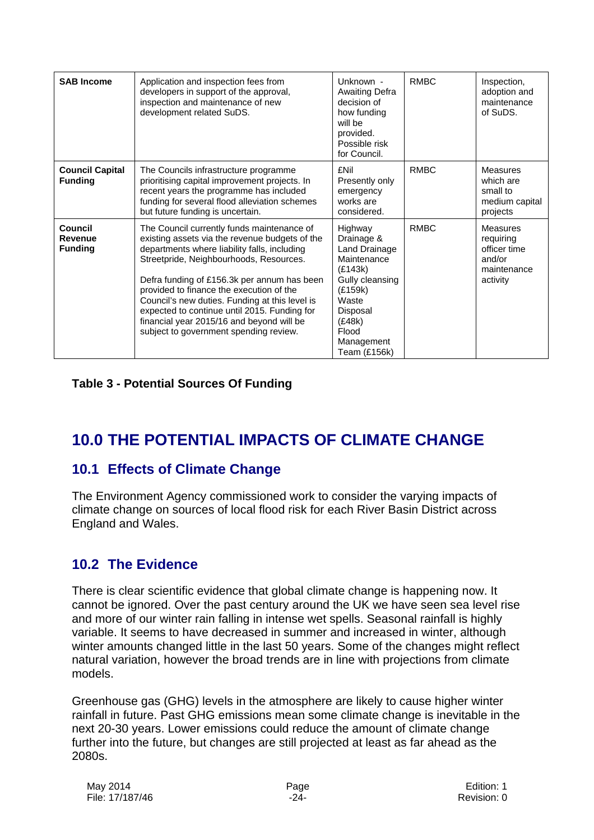| <b>SAB Income</b>                           | Application and inspection fees from<br>developers in support of the approval,<br>inspection and maintenance of new<br>development related SuDS.                                                                                                                                                                                                                                                                                                                            | Unknown -<br><b>Awaiting Defra</b><br>decision of<br>how funding<br>will be<br>provided.<br>Possible risk<br>for Council.                                            | <b>RMBC</b> | Inspection,<br>adoption and<br>maintenance<br>of SuDS.                            |
|---------------------------------------------|-----------------------------------------------------------------------------------------------------------------------------------------------------------------------------------------------------------------------------------------------------------------------------------------------------------------------------------------------------------------------------------------------------------------------------------------------------------------------------|----------------------------------------------------------------------------------------------------------------------------------------------------------------------|-------------|-----------------------------------------------------------------------------------|
| <b>Council Capital</b><br><b>Funding</b>    | The Councils infrastructure programme<br>prioritising capital improvement projects. In<br>recent years the programme has included<br>funding for several flood alleviation schemes<br>but future funding is uncertain.                                                                                                                                                                                                                                                      | £Nil<br>Presently only<br>emergency<br>works are<br>considered.                                                                                                      | <b>RMBC</b> | <b>Measures</b><br>which are<br>small to<br>medium capital<br>projects            |
| Council<br><b>Revenue</b><br><b>Funding</b> | The Council currently funds maintenance of<br>existing assets via the revenue budgets of the<br>departments where liability falls, including<br>Streetpride, Neighbourhoods, Resources.<br>Defra funding of £156.3k per annum has been<br>provided to finance the execution of the<br>Council's new duties. Funding at this level is<br>expected to continue until 2015. Funding for<br>financial year 2015/16 and beyond will be<br>subject to government spending review. | Highway<br>Drainage &<br>Land Drainage<br>Maintenance<br>(E143k)<br>Gully cleansing<br>(E159k)<br>Waste<br>Disposal<br>(E48k)<br>Flood<br>Management<br>Team (£156k) | <b>RMBC</b> | <b>Measures</b><br>requiring<br>officer time<br>and/or<br>maintenance<br>activity |

#### **Table 3 - Potential Sources Of Funding**

# **10.0 THE POTENTIAL IMPACTS OF CLIMATE CHANGE**

## **10.1 Effects of Climate Change**

The Environment Agency commissioned work to consider the varying impacts of climate change on sources of local flood risk for each River Basin District across England and Wales.

## **10.2 The Evidence**

There is clear scientific evidence that global climate change is happening now. It cannot be ignored. Over the past century around the UK we have seen sea level rise and more of our winter rain falling in intense wet spells. Seasonal rainfall is highly variable. It seems to have decreased in summer and increased in winter, although winter amounts changed little in the last 50 years. Some of the changes might reflect natural variation, however the broad trends are in line with projections from climate models.

Greenhouse gas (GHG) levels in the atmosphere are likely to cause higher winter rainfall in future. Past GHG emissions mean some climate change is inevitable in the next 20-30 years. Lower emissions could reduce the amount of climate change further into the future, but changes are still projected at least as far ahead as the 2080s.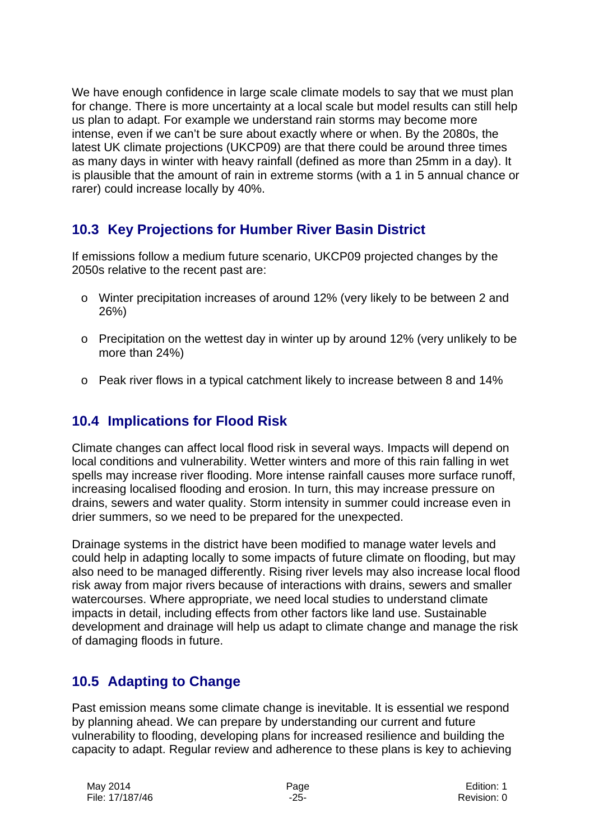We have enough confidence in large scale climate models to say that we must plan for change. There is more uncertainty at a local scale but model results can still help us plan to adapt. For example we understand rain storms may become more intense, even if we can't be sure about exactly where or when. By the 2080s, the latest UK climate projections (UKCP09) are that there could be around three times as many days in winter with heavy rainfall (defined as more than 25mm in a day). It is plausible that the amount of rain in extreme storms (with a 1 in 5 annual chance or rarer) could increase locally by 40%.

# **10.3 Key Projections for Humber River Basin District**

If emissions follow a medium future scenario, UKCP09 projected changes by the 2050s relative to the recent past are:

- o Winter precipitation increases of around 12% (very likely to be between 2 and 26%)
- $\circ$  Precipitation on the wettest day in winter up by around 12% (very unlikely to be more than 24%)
- $\circ$  Peak river flows in a typical catchment likely to increase between 8 and 14%

## **10.4 Implications for Flood Risk**

Climate changes can affect local flood risk in several ways. Impacts will depend on local conditions and vulnerability. Wetter winters and more of this rain falling in wet spells may increase river flooding. More intense rainfall causes more surface runoff, increasing localised flooding and erosion. In turn, this may increase pressure on drains, sewers and water quality. Storm intensity in summer could increase even in drier summers, so we need to be prepared for the unexpected.

Drainage systems in the district have been modified to manage water levels and could help in adapting locally to some impacts of future climate on flooding, but may also need to be managed differently. Rising river levels may also increase local flood risk away from major rivers because of interactions with drains, sewers and smaller watercourses. Where appropriate, we need local studies to understand climate impacts in detail, including effects from other factors like land use. Sustainable development and drainage will help us adapt to climate change and manage the risk of damaging floods in future.

# **10.5 Adapting to Change**

Past emission means some climate change is inevitable. It is essential we respond by planning ahead. We can prepare by understanding our current and future vulnerability to flooding, developing plans for increased resilience and building the capacity to adapt. Regular review and adherence to these plans is key to achieving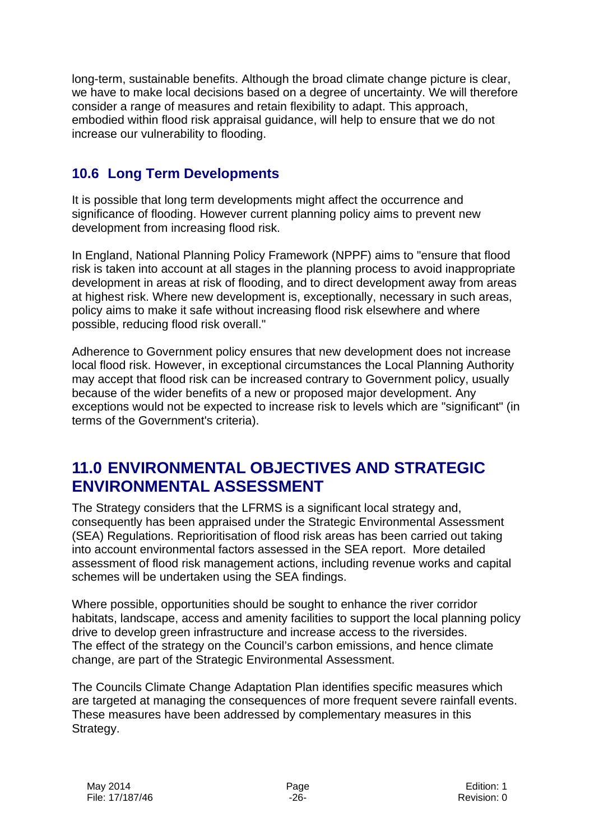long-term, sustainable benefits. Although the broad climate change picture is clear, we have to make local decisions based on a degree of uncertainty. We will therefore consider a range of measures and retain flexibility to adapt. This approach, embodied within flood risk appraisal guidance, will help to ensure that we do not increase our vulnerability to flooding.

# **10.6 Long Term Developments**

It is possible that long term developments might affect the occurrence and significance of flooding. However current planning policy aims to prevent new development from increasing flood risk.

In England, National Planning Policy Framework (NPPF) aims to "ensure that flood risk is taken into account at all stages in the planning process to avoid inappropriate development in areas at risk of flooding, and to direct development away from areas at highest risk. Where new development is, exceptionally, necessary in such areas, policy aims to make it safe without increasing flood risk elsewhere and where possible, reducing flood risk overall."

Adherence to Government policy ensures that new development does not increase local flood risk. However, in exceptional circumstances the Local Planning Authority may accept that flood risk can be increased contrary to Government policy, usually because of the wider benefits of a new or proposed major development. Any exceptions would not be expected to increase risk to levels which are "significant" (in terms of the Government's criteria).

# **11.0 ENVIRONMENTAL OBJECTIVES AND STRATEGIC ENVIRONMENTAL ASSESSMENT**

The Strategy considers that the LFRMS is a significant local strategy and, consequently has been appraised under the Strategic Environmental Assessment (SEA) Regulations. Reprioritisation of flood risk areas has been carried out taking into account environmental factors assessed in the SEA report. More detailed assessment of flood risk management actions, including revenue works and capital schemes will be undertaken using the SEA findings.

Where possible, opportunities should be sought to enhance the river corridor habitats, landscape, access and amenity facilities to support the local planning policy drive to develop green infrastructure and increase access to the riversides. The effect of the strategy on the Council's carbon emissions, and hence climate change, are part of the Strategic Environmental Assessment.

The Councils Climate Change Adaptation Plan identifies specific measures which are targeted at managing the consequences of more frequent severe rainfall events. These measures have been addressed by complementary measures in this Strategy.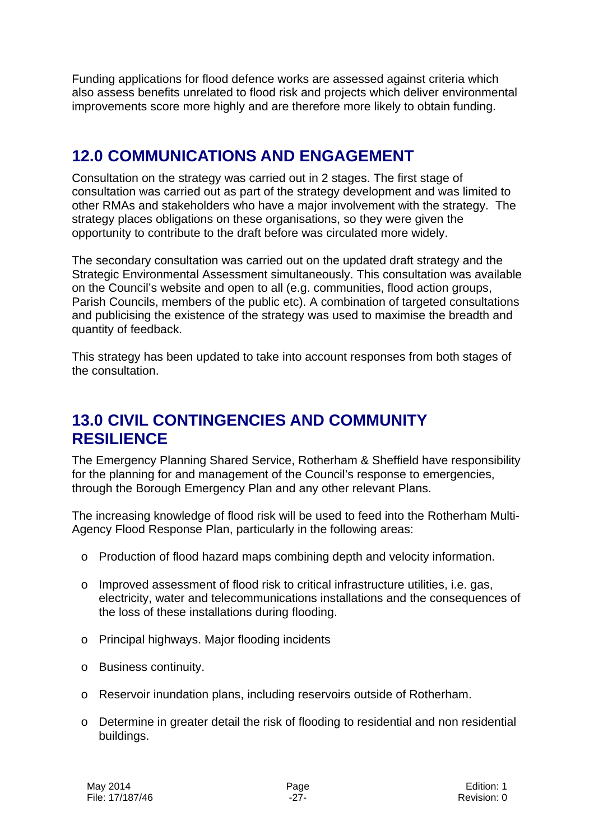Funding applications for flood defence works are assessed against criteria which also assess benefits unrelated to flood risk and projects which deliver environmental improvements score more highly and are therefore more likely to obtain funding.

# **12.0 COMMUNICATIONS AND ENGAGEMENT**

Consultation on the strategy was carried out in 2 stages. The first stage of consultation was carried out as part of the strategy development and was limited to other RMAs and stakeholders who have a major involvement with the strategy. The strategy places obligations on these organisations, so they were given the opportunity to contribute to the draft before was circulated more widely.

The secondary consultation was carried out on the updated draft strategy and the Strategic Environmental Assessment simultaneously. This consultation was available on the Council's website and open to all (e.g. communities, flood action groups, Parish Councils, members of the public etc). A combination of targeted consultations and publicising the existence of the strategy was used to maximise the breadth and quantity of feedback.

This strategy has been updated to take into account responses from both stages of the consultation.

# **13.0 CIVIL CONTINGENCIES AND COMMUNITY RESILIENCE**

The Emergency Planning Shared Service, Rotherham & Sheffield have responsibility for the planning for and management of the Council's response to emergencies, through the Borough Emergency Plan and any other relevant Plans.

The increasing knowledge of flood risk will be used to feed into the Rotherham Multi-Agency Flood Response Plan, particularly in the following areas:

- o Production of flood hazard maps combining depth and velocity information.
- o Improved assessment of flood risk to critical infrastructure utilities, i.e. gas, electricity, water and telecommunications installations and the consequences of the loss of these installations during flooding.
- o Principal highways. Major flooding incidents
- o Business continuity.
- o Reservoir inundation plans, including reservoirs outside of Rotherham.
- o Determine in greater detail the risk of flooding to residential and non residential buildings.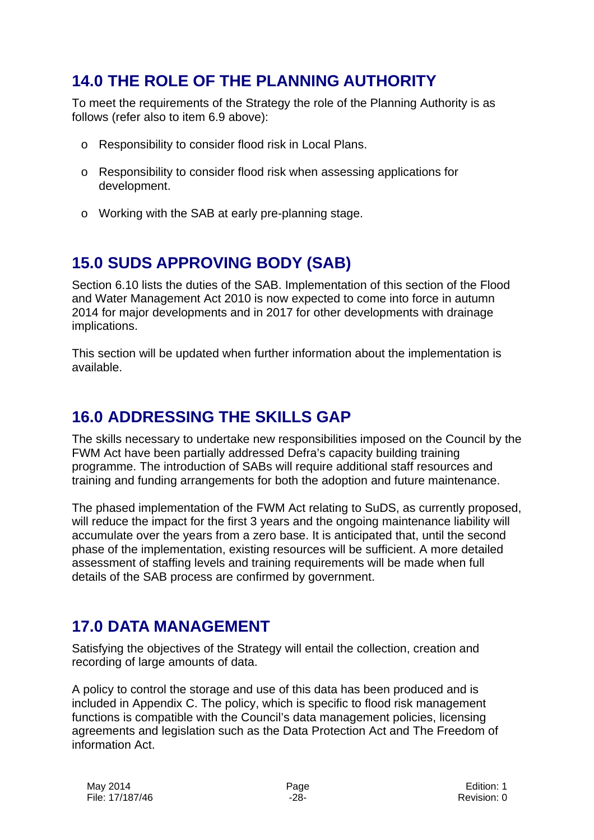# **14.0 THE ROLE OF THE PLANNING AUTHORITY**

To meet the requirements of the Strategy the role of the Planning Authority is as follows (refer also to item 6.9 above):

- o Responsibility to consider flood risk in Local Plans.
- o Responsibility to consider flood risk when assessing applications for development.
- o Working with the SAB at early pre-planning stage.

# **15.0 SUDS APPROVING BODY (SAB)**

Section 6.10 lists the duties of the SAB. Implementation of this section of the Flood and Water Management Act 2010 is now expected to come into force in autumn 2014 for major developments and in 2017 for other developments with drainage implications.

This section will be updated when further information about the implementation is available.

# **16.0 ADDRESSING THE SKILLS GAP**

The skills necessary to undertake new responsibilities imposed on the Council by the FWM Act have been partially addressed Defra's capacity building training programme. The introduction of SABs will require additional staff resources and training and funding arrangements for both the adoption and future maintenance.

The phased implementation of the FWM Act relating to SuDS, as currently proposed, will reduce the impact for the first 3 years and the ongoing maintenance liability will accumulate over the years from a zero base. It is anticipated that, until the second phase of the implementation, existing resources will be sufficient. A more detailed assessment of staffing levels and training requirements will be made when full details of the SAB process are confirmed by government.

# **17.0 DATA MANAGEMENT**

Satisfying the objectives of the Strategy will entail the collection, creation and recording of large amounts of data.

A policy to control the storage and use of this data has been produced and is included in Appendix C. The policy, which is specific to flood risk management functions is compatible with the Council's data management policies, licensing agreements and legislation such as the Data Protection Act and The Freedom of information Act.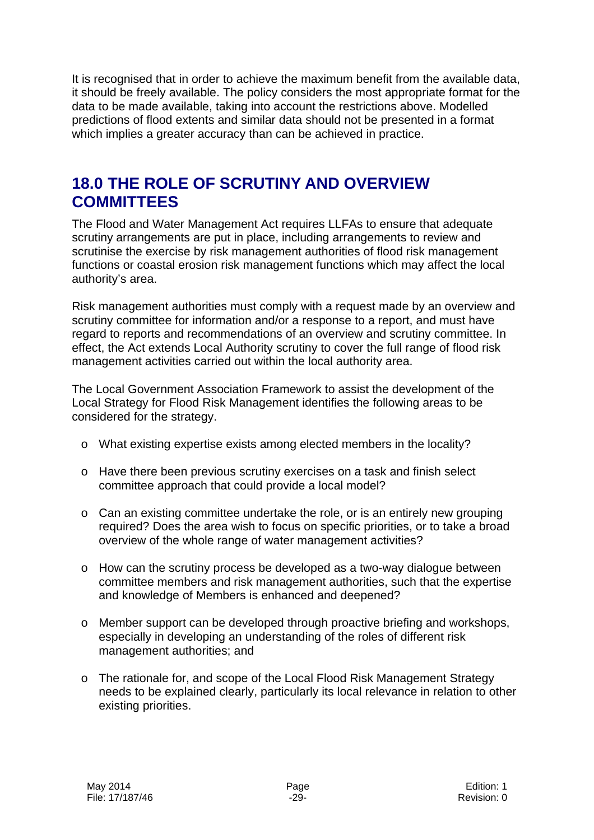It is recognised that in order to achieve the maximum benefit from the available data, it should be freely available. The policy considers the most appropriate format for the data to be made available, taking into account the restrictions above. Modelled predictions of flood extents and similar data should not be presented in a format which implies a greater accuracy than can be achieved in practice.

# **18.0 THE ROLE OF SCRUTINY AND OVERVIEW COMMITTEES**

The Flood and Water Management Act requires LLFAs to ensure that adequate scrutiny arrangements are put in place, including arrangements to review and scrutinise the exercise by risk management authorities of flood risk management functions or coastal erosion risk management functions which may affect the local authority's area.

Risk management authorities must comply with a request made by an overview and scrutiny committee for information and/or a response to a report, and must have regard to reports and recommendations of an overview and scrutiny committee. In effect, the Act extends Local Authority scrutiny to cover the full range of flood risk management activities carried out within the local authority area.

The Local Government Association Framework to assist the development of the Local Strategy for Flood Risk Management identifies the following areas to be considered for the strategy.

- o What existing expertise exists among elected members in the locality?
- o Have there been previous scrutiny exercises on a task and finish select committee approach that could provide a local model?
- o Can an existing committee undertake the role, or is an entirely new grouping required? Does the area wish to focus on specific priorities, or to take a broad overview of the whole range of water management activities?
- $\circ$  How can the scrutiny process be developed as a two-way dialogue between committee members and risk management authorities, such that the expertise and knowledge of Members is enhanced and deepened?
- o Member support can be developed through proactive briefing and workshops, especially in developing an understanding of the roles of different risk management authorities; and
- o The rationale for, and scope of the Local Flood Risk Management Strategy needs to be explained clearly, particularly its local relevance in relation to other existing priorities.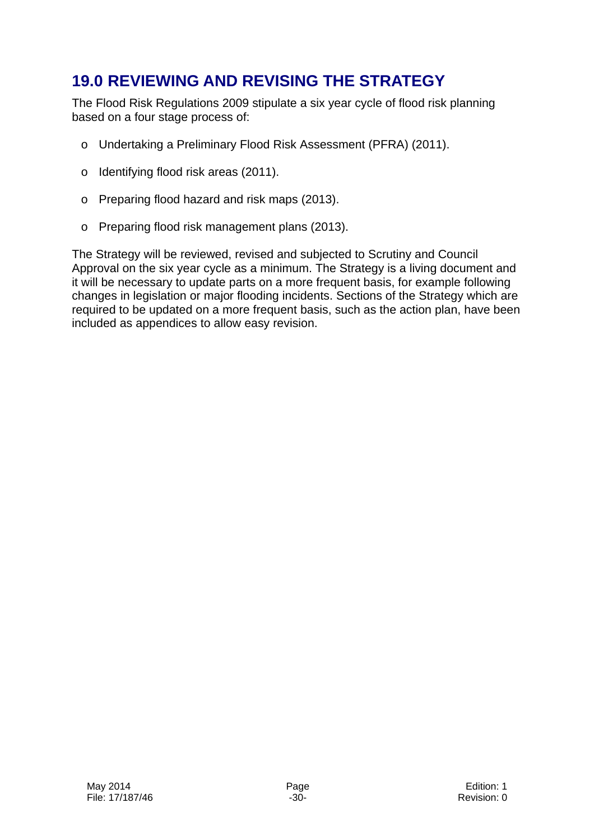# **19.0 REVIEWING AND REVISING THE STRATEGY**

The Flood Risk Regulations 2009 stipulate a six year cycle of flood risk planning based on a four stage process of:

- o Undertaking a Preliminary Flood Risk Assessment (PFRA) (2011).
- o Identifying flood risk areas (2011).
- o Preparing flood hazard and risk maps (2013).
- o Preparing flood risk management plans (2013).

The Strategy will be reviewed, revised and subjected to Scrutiny and Council Approval on the six year cycle as a minimum. The Strategy is a living document and it will be necessary to update parts on a more frequent basis, for example following changes in legislation or major flooding incidents. Sections of the Strategy which are required to be updated on a more frequent basis, such as the action plan, have been included as appendices to allow easy revision.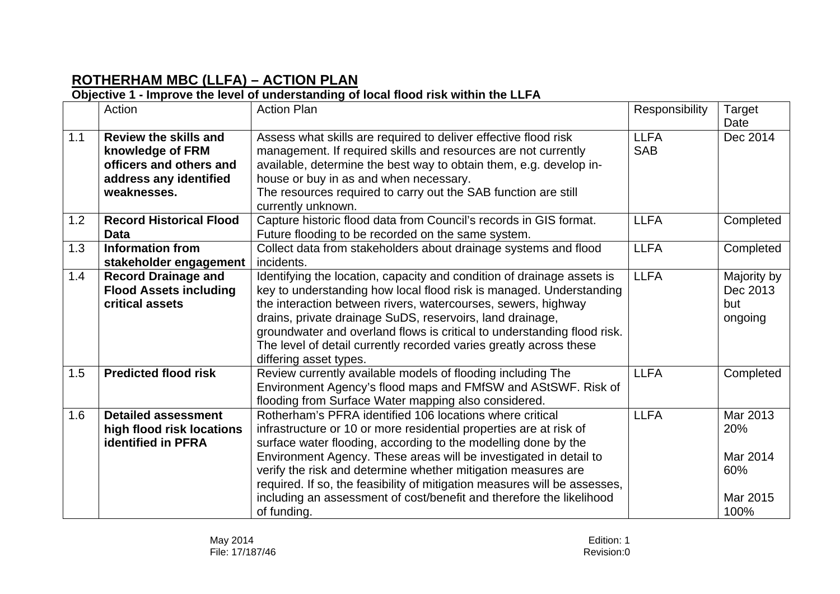# **ROTHERHAM MBC (LLFA) – ACTION PLAN**

#### **Objective 1 - Improve the level of understanding of local flood risk within the LLFA**

|     | Action                                                                                                               | <b>Action Plan</b>                                                                                                                                                                                                                                                                                                                                                                                                                                                                                         | Responsibility            | Target<br>Date                                         |
|-----|----------------------------------------------------------------------------------------------------------------------|------------------------------------------------------------------------------------------------------------------------------------------------------------------------------------------------------------------------------------------------------------------------------------------------------------------------------------------------------------------------------------------------------------------------------------------------------------------------------------------------------------|---------------------------|--------------------------------------------------------|
| 1.1 | <b>Review the skills and</b><br>knowledge of FRM<br>officers and others and<br>address any identified<br>weaknesses. | Assess what skills are required to deliver effective flood risk<br>management. If required skills and resources are not currently<br>available, determine the best way to obtain them, e.g. develop in-<br>house or buy in as and when necessary.<br>The resources required to carry out the SAB function are still<br>currently unknown.                                                                                                                                                                  | <b>LLFA</b><br><b>SAB</b> | Dec 2014                                               |
| 1.2 | <b>Record Historical Flood</b><br><b>Data</b>                                                                        | Capture historic flood data from Council's records in GIS format.<br>Future flooding to be recorded on the same system.                                                                                                                                                                                                                                                                                                                                                                                    | <b>LLFA</b>               | Completed                                              |
| 1.3 | <b>Information from</b><br>stakeholder engagement                                                                    | Collect data from stakeholders about drainage systems and flood<br>incidents.                                                                                                                                                                                                                                                                                                                                                                                                                              | <b>LLFA</b>               | Completed                                              |
| 1.4 | <b>Record Drainage and</b><br><b>Flood Assets including</b><br>critical assets                                       | Identifying the location, capacity and condition of drainage assets is<br>key to understanding how local flood risk is managed. Understanding<br>the interaction between rivers, watercourses, sewers, highway<br>drains, private drainage SuDS, reservoirs, land drainage,<br>groundwater and overland flows is critical to understanding flood risk.<br>The level of detail currently recorded varies greatly across these<br>differing asset types.                                                     | <b>LLFA</b>               | Majority by<br>Dec 2013<br>but<br>ongoing              |
| 1.5 | <b>Predicted flood risk</b>                                                                                          | Review currently available models of flooding including The<br>Environment Agency's flood maps and FMfSW and AStSWF. Risk of<br>flooding from Surface Water mapping also considered.                                                                                                                                                                                                                                                                                                                       | <b>LLFA</b>               | Completed                                              |
| 1.6 | <b>Detailed assessment</b><br>high flood risk locations<br><b>identified in PFRA</b>                                 | Rotherham's PFRA identified 106 locations where critical<br>infrastructure or 10 or more residential properties are at risk of<br>surface water flooding, according to the modelling done by the<br>Environment Agency. These areas will be investigated in detail to<br>verify the risk and determine whether mitigation measures are<br>required. If so, the feasibility of mitigation measures will be assesses,<br>including an assessment of cost/benefit and therefore the likelihood<br>of funding. | <b>LLFA</b>               | Mar 2013<br>20%<br>Mar 2014<br>60%<br>Mar 2015<br>100% |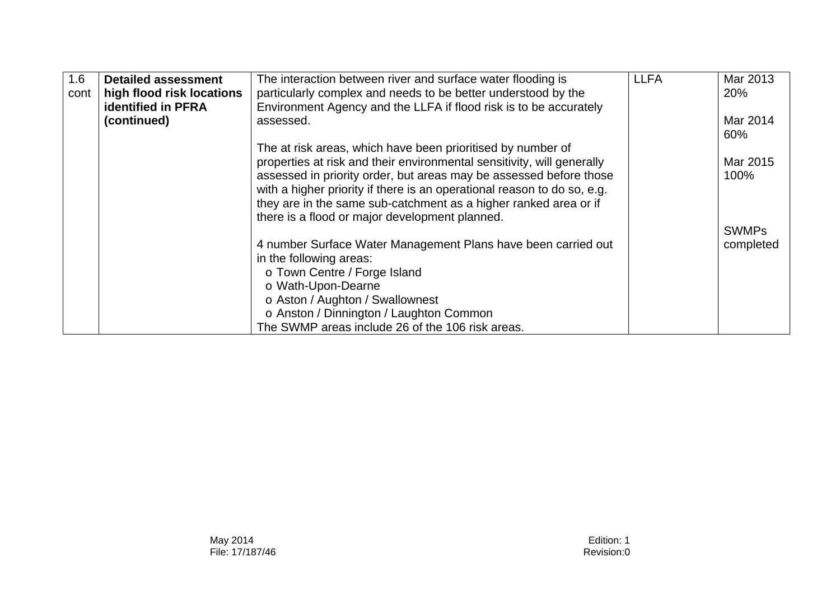| 1.6  | <b>Detailed assessment</b> | The interaction between river and surface water flooding is             | <b>LLFA</b> | Mar 2013     |
|------|----------------------------|-------------------------------------------------------------------------|-------------|--------------|
| cont | high flood risk locations  | particularly complex and needs to be better understood by the           |             | 20%          |
|      | <b>identified in PFRA</b>  | Environment Agency and the LLFA if flood risk is to be accurately       |             |              |
|      | (continued)                | assessed.                                                               |             | Mar 2014     |
|      |                            |                                                                         |             | 60%          |
|      |                            | The at risk areas, which have been prioritised by number of             |             |              |
|      |                            | properties at risk and their environmental sensitivity, will generally  |             | Mar 2015     |
|      |                            | assessed in priority order, but areas may be assessed before those      |             | 100%         |
|      |                            | with a higher priority if there is an operational reason to do so, e.g. |             |              |
|      |                            | they are in the same sub-catchment as a higher ranked area or if        |             |              |
|      |                            | there is a flood or major development planned.                          |             |              |
|      |                            |                                                                         |             | <b>SWMPs</b> |
|      |                            | 4 number Surface Water Management Plans have been carried out           |             | completed    |
|      |                            | in the following areas:                                                 |             |              |
|      |                            | o Town Centre / Forge Island                                            |             |              |
|      |                            | o Wath-Upon-Dearne                                                      |             |              |
|      |                            | o Aston / Aughton / Swallownest                                         |             |              |
|      |                            | o Anston / Dinnington / Laughton Common                                 |             |              |
|      |                            | The SWMP areas include 26 of the 106 risk areas.                        |             |              |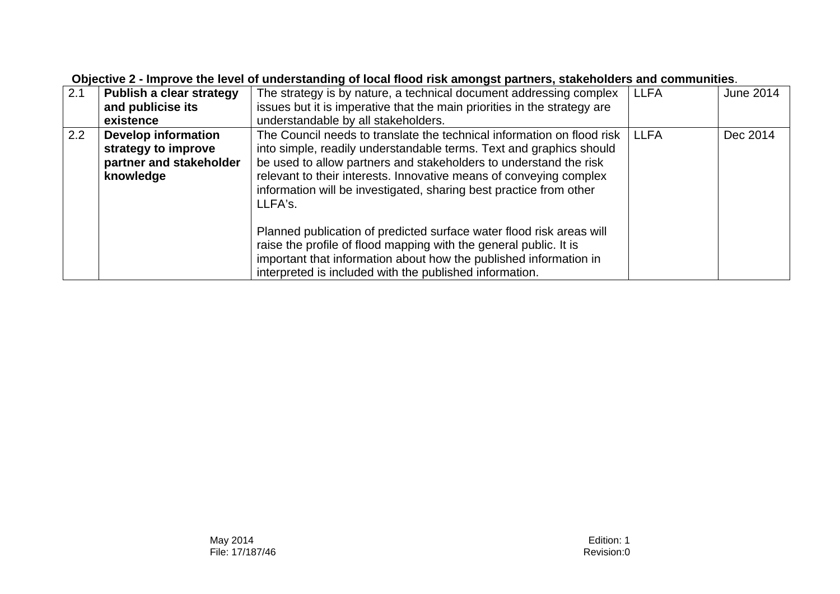| 2.1 | Publish a clear strategy   | The strategy is by nature, a technical document addressing complex       | <b>LLFA</b> | June 2014 |
|-----|----------------------------|--------------------------------------------------------------------------|-------------|-----------|
|     | and publicise its          | issues but it is imperative that the main priorities in the strategy are |             |           |
|     | existence                  | understandable by all stakeholders.                                      |             |           |
| 2.2 | <b>Develop information</b> | The Council needs to translate the technical information on flood risk   | <b>LLFA</b> | Dec 2014  |
|     | strategy to improve        | into simple, readily understandable terms. Text and graphics should      |             |           |
|     | partner and stakeholder    | be used to allow partners and stakeholders to understand the risk        |             |           |
|     | knowledge                  | relevant to their interests. Innovative means of conveying complex       |             |           |
|     |                            | information will be investigated, sharing best practice from other       |             |           |
|     |                            | LLFA's.                                                                  |             |           |
|     |                            |                                                                          |             |           |
|     |                            | Planned publication of predicted surface water flood risk areas will     |             |           |
|     |                            | raise the profile of flood mapping with the general public. It is        |             |           |
|     |                            | important that information about how the published information in        |             |           |
|     |                            | interpreted is included with the published information.                  |             |           |

#### **Objective 2 - Improve the level of understanding of local flood risk amongst partners, stakeholders and communities**.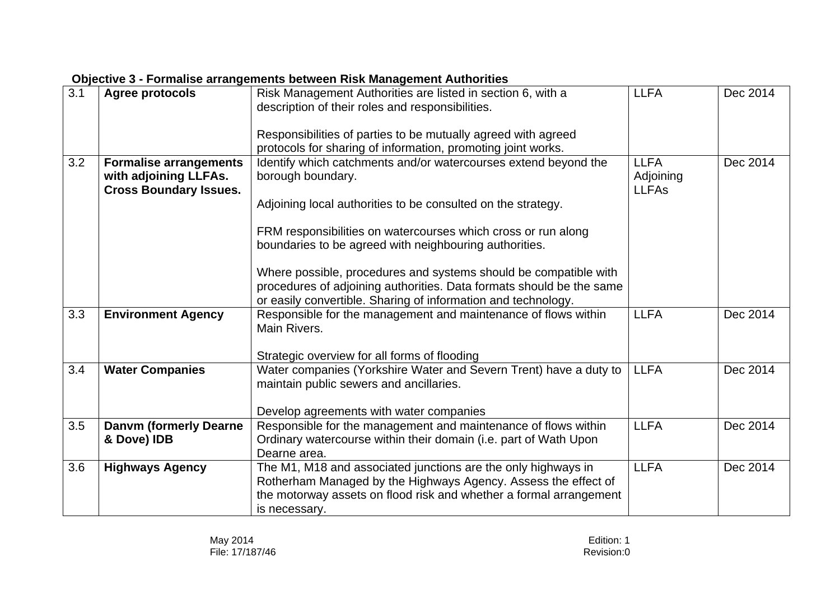| 3.1 | Agree protocols                              | Risk Management Authorities are listed in section 6, with a<br>description of their roles and responsibilities.                 | <b>LLFA</b>  | Dec 2014 |
|-----|----------------------------------------------|---------------------------------------------------------------------------------------------------------------------------------|--------------|----------|
|     |                                              |                                                                                                                                 |              |          |
|     |                                              | Responsibilities of parties to be mutually agreed with agreed                                                                   |              |          |
|     |                                              | protocols for sharing of information, promoting joint works.                                                                    |              |          |
| 3.2 | <b>Formalise arrangements</b>                | Identify which catchments and/or watercourses extend beyond the                                                                 | <b>LLFA</b>  | Dec 2014 |
|     | with adjoining LLFAs.                        | borough boundary.                                                                                                               | Adjoining    |          |
|     | <b>Cross Boundary Issues.</b>                | Adjoining local authorities to be consulted on the strategy.                                                                    | <b>LLFAs</b> |          |
|     |                                              | FRM responsibilities on watercourses which cross or run along                                                                   |              |          |
|     |                                              | boundaries to be agreed with neighbouring authorities.                                                                          |              |          |
|     |                                              |                                                                                                                                 |              |          |
|     |                                              | Where possible, procedures and systems should be compatible with                                                                |              |          |
|     |                                              | procedures of adjoining authorities. Data formats should be the same                                                            |              |          |
| 3.3 | <b>Environment Agency</b>                    | or easily convertible. Sharing of information and technology.<br>Responsible for the management and maintenance of flows within | <b>LLFA</b>  | Dec 2014 |
|     |                                              | Main Rivers.                                                                                                                    |              |          |
|     |                                              |                                                                                                                                 |              |          |
|     |                                              | Strategic overview for all forms of flooding                                                                                    |              |          |
| 3.4 | <b>Water Companies</b>                       | Water companies (Yorkshire Water and Severn Trent) have a duty to                                                               | <b>LLFA</b>  | Dec 2014 |
|     |                                              | maintain public sewers and ancillaries.                                                                                         |              |          |
|     |                                              |                                                                                                                                 |              |          |
|     |                                              | Develop agreements with water companies                                                                                         |              |          |
| 3.5 | <b>Danvm (formerly Dearne</b><br>& Dove) IDB | Responsible for the management and maintenance of flows within                                                                  | <b>LLFA</b>  | Dec 2014 |
|     |                                              | Ordinary watercourse within their domain (i.e. part of Wath Upon<br>Dearne area.                                                |              |          |
| 3.6 | <b>Highways Agency</b>                       | The M1, M18 and associated junctions are the only highways in                                                                   | <b>LLFA</b>  | Dec 2014 |
|     |                                              | Rotherham Managed by the Highways Agency. Assess the effect of                                                                  |              |          |
|     |                                              | the motorway assets on flood risk and whether a formal arrangement                                                              |              |          |
|     |                                              | is necessary.                                                                                                                   |              |          |

#### **Objective 3 - Formalise arrangements between Risk Management Authorities**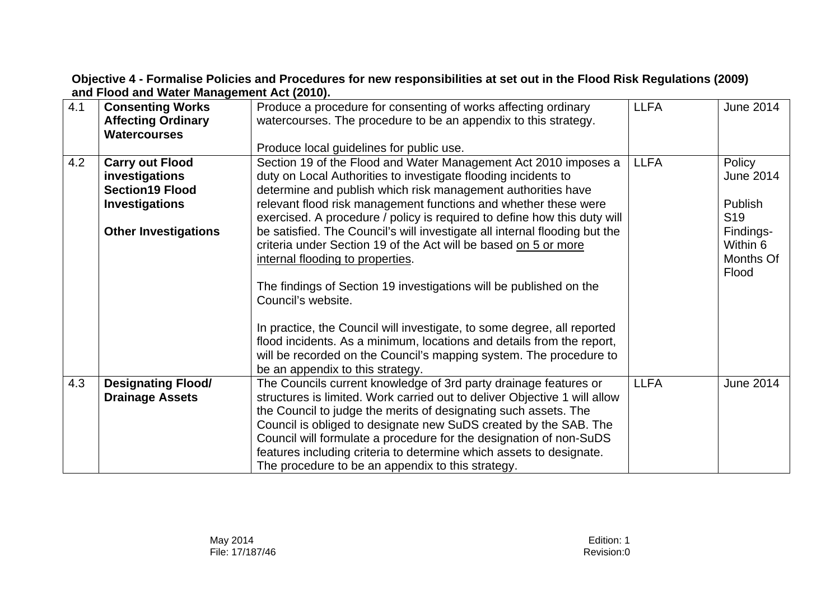**Objective 4 - Formalise Policies and Procedures for new responsibilities at set out in the Flood Risk Regulations (2009) and Flood and Water Management Act (2010).**

| 4.1 | <b>Consenting Works</b><br><b>Affecting Ordinary</b><br><b>Watercourses</b>                                                | Produce a procedure for consenting of works affecting ordinary<br>watercourses. The procedure to be an appendix to this strategy.                                                                                                                                                                                                                                                                                                                                                      | <b>LLFA</b> | <b>June 2014</b>                                                             |
|-----|----------------------------------------------------------------------------------------------------------------------------|----------------------------------------------------------------------------------------------------------------------------------------------------------------------------------------------------------------------------------------------------------------------------------------------------------------------------------------------------------------------------------------------------------------------------------------------------------------------------------------|-------------|------------------------------------------------------------------------------|
|     |                                                                                                                            | Produce local guidelines for public use.                                                                                                                                                                                                                                                                                                                                                                                                                                               |             |                                                                              |
| 4.2 | <b>Carry out Flood</b><br>investigations<br><b>Section19 Flood</b><br><b>Investigations</b><br><b>Other Investigations</b> | Section 19 of the Flood and Water Management Act 2010 imposes a<br>duty on Local Authorities to investigate flooding incidents to<br>determine and publish which risk management authorities have<br>relevant flood risk management functions and whether these were<br>exercised. A procedure / policy is required to define how this duty will<br>be satisfied. The Council's will investigate all internal flooding but the                                                         | <b>LLFA</b> | Policy<br><b>June 2014</b><br><b>Publish</b><br>S <sub>19</sub><br>Findings- |
|     |                                                                                                                            | criteria under Section 19 of the Act will be based on 5 or more<br>internal flooding to properties.<br>The findings of Section 19 investigations will be published on the<br>Council's website.<br>In practice, the Council will investigate, to some degree, all reported<br>flood incidents. As a minimum, locations and details from the report,<br>will be recorded on the Council's mapping system. The procedure to<br>be an appendix to this strategy.                          |             | Within 6<br>Months Of<br>Flood                                               |
| 4.3 | <b>Designating Flood/</b><br><b>Drainage Assets</b>                                                                        | The Councils current knowledge of 3rd party drainage features or<br>structures is limited. Work carried out to deliver Objective 1 will allow<br>the Council to judge the merits of designating such assets. The<br>Council is obliged to designate new SuDS created by the SAB. The<br>Council will formulate a procedure for the designation of non-SuDS<br>features including criteria to determine which assets to designate.<br>The procedure to be an appendix to this strategy. | <b>LLFA</b> | <b>June 2014</b>                                                             |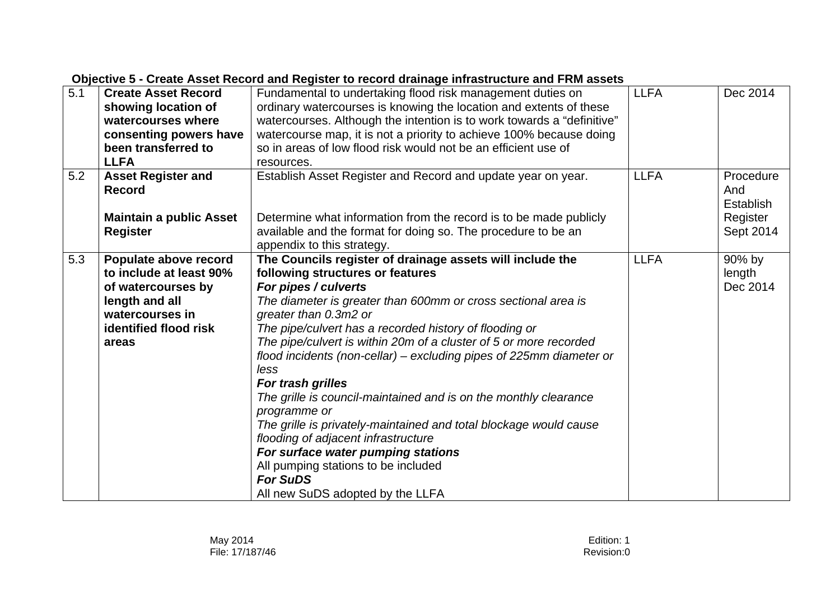| 5.1 | <b>Create Asset Record</b><br>showing location of<br>watercourses where<br>consenting powers have<br>been transferred to<br><b>LLFA</b>       | Fundamental to undertaking flood risk management duties on<br>ordinary watercourses is knowing the location and extents of these<br>watercourses. Although the intention is to work towards a "definitive"<br>watercourse map, it is not a priority to achieve 100% because doing<br>so in areas of low flood risk would not be an efficient use of<br>resources.                                                                                                                                                                                                                                                                                                                                                                                                                      | <b>LLFA</b> | Dec 2014                                                      |
|-----|-----------------------------------------------------------------------------------------------------------------------------------------------|----------------------------------------------------------------------------------------------------------------------------------------------------------------------------------------------------------------------------------------------------------------------------------------------------------------------------------------------------------------------------------------------------------------------------------------------------------------------------------------------------------------------------------------------------------------------------------------------------------------------------------------------------------------------------------------------------------------------------------------------------------------------------------------|-------------|---------------------------------------------------------------|
| 5.2 | <b>Asset Register and</b><br><b>Record</b><br><b>Maintain a public Asset</b><br><b>Register</b>                                               | Establish Asset Register and Record and update year on year.<br>Determine what information from the record is to be made publicly<br>available and the format for doing so. The procedure to be an<br>appendix to this strategy.                                                                                                                                                                                                                                                                                                                                                                                                                                                                                                                                                       | <b>LLFA</b> | Procedure<br>And<br><b>Establish</b><br>Register<br>Sept 2014 |
| 5.3 | Populate above record<br>to include at least 90%<br>of watercourses by<br>length and all<br>watercourses in<br>identified flood risk<br>areas | The Councils register of drainage assets will include the<br>following structures or features<br>For pipes / culverts<br>The diameter is greater than 600mm or cross sectional area is<br>greater than 0.3m2 or<br>The pipe/culvert has a recorded history of flooding or<br>The pipe/culvert is within 20m of a cluster of 5 or more recorded<br>flood incidents (non-cellar) – excluding pipes of 225mm diameter or<br>less<br>For trash grilles<br>The grille is council-maintained and is on the monthly clearance<br>programme or<br>The grille is privately-maintained and total blockage would cause<br>flooding of adjacent infrastructure<br>For surface water pumping stations<br>All pumping stations to be included<br><b>For SuDS</b><br>All new SuDS adopted by the LLFA | <b>LLFA</b> | 90% by<br>length<br>Dec 2014                                  |

#### **Objective 5 - Create Asset Record and Register to record drainage infrastructure and FRM assets**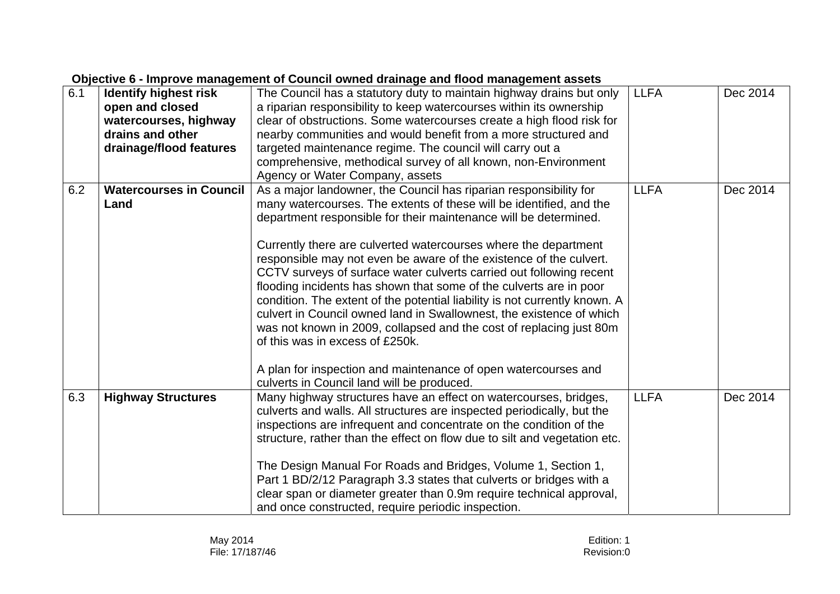| Objective 6 - improve management or Council owned dramage and nood management assets |                                |                                                                                                                                                                                                              |             |          |  |
|--------------------------------------------------------------------------------------|--------------------------------|--------------------------------------------------------------------------------------------------------------------------------------------------------------------------------------------------------------|-------------|----------|--|
| 6.1                                                                                  | <b>Identify highest risk</b>   | The Council has a statutory duty to maintain highway drains but only                                                                                                                                         | <b>LLFA</b> | Dec 2014 |  |
|                                                                                      | open and closed                | a riparian responsibility to keep watercourses within its ownership                                                                                                                                          |             |          |  |
|                                                                                      | watercourses, highway          | clear of obstructions. Some watercourses create a high flood risk for                                                                                                                                        |             |          |  |
|                                                                                      | drains and other               | nearby communities and would benefit from a more structured and                                                                                                                                              |             |          |  |
|                                                                                      | drainage/flood features        | targeted maintenance regime. The council will carry out a                                                                                                                                                    |             |          |  |
|                                                                                      |                                | comprehensive, methodical survey of all known, non-Environment                                                                                                                                               |             |          |  |
|                                                                                      |                                | Agency or Water Company, assets                                                                                                                                                                              |             |          |  |
| 6.2                                                                                  | <b>Watercourses in Council</b> | As a major landowner, the Council has riparian responsibility for                                                                                                                                            | <b>LLFA</b> | Dec 2014 |  |
|                                                                                      | Land                           | many watercourses. The extents of these will be identified, and the                                                                                                                                          |             |          |  |
|                                                                                      |                                | department responsible for their maintenance will be determined.                                                                                                                                             |             |          |  |
|                                                                                      |                                | Currently there are culverted watercourses where the department                                                                                                                                              |             |          |  |
|                                                                                      |                                | responsible may not even be aware of the existence of the culvert.                                                                                                                                           |             |          |  |
|                                                                                      |                                | CCTV surveys of surface water culverts carried out following recent                                                                                                                                          |             |          |  |
|                                                                                      |                                | flooding incidents has shown that some of the culverts are in poor                                                                                                                                           |             |          |  |
|                                                                                      |                                | condition. The extent of the potential liability is not currently known. A                                                                                                                                   |             |          |  |
|                                                                                      |                                | culvert in Council owned land in Swallownest, the existence of which                                                                                                                                         |             |          |  |
|                                                                                      |                                | was not known in 2009, collapsed and the cost of replacing just 80m                                                                                                                                          |             |          |  |
|                                                                                      |                                | of this was in excess of £250k.                                                                                                                                                                              |             |          |  |
|                                                                                      |                                | A plan for inspection and maintenance of open watercourses and                                                                                                                                               |             |          |  |
|                                                                                      |                                | culverts in Council land will be produced.                                                                                                                                                                   |             |          |  |
| 6.3                                                                                  | <b>Highway Structures</b>      | Many highway structures have an effect on watercourses, bridges,                                                                                                                                             | <b>LLFA</b> | Dec 2014 |  |
|                                                                                      |                                | culverts and walls. All structures are inspected periodically, but the                                                                                                                                       |             |          |  |
|                                                                                      |                                | inspections are infrequent and concentrate on the condition of the                                                                                                                                           |             |          |  |
|                                                                                      |                                | structure, rather than the effect on flow due to silt and vegetation etc.                                                                                                                                    |             |          |  |
|                                                                                      |                                |                                                                                                                                                                                                              |             |          |  |
|                                                                                      |                                |                                                                                                                                                                                                              |             |          |  |
|                                                                                      |                                |                                                                                                                                                                                                              |             |          |  |
|                                                                                      |                                | and once constructed, require periodic inspection.                                                                                                                                                           |             |          |  |
|                                                                                      |                                | The Design Manual For Roads and Bridges, Volume 1, Section 1,<br>Part 1 BD/2/12 Paragraph 3.3 states that culverts or bridges with a<br>clear span or diameter greater than 0.9m require technical approval, |             |          |  |

#### **Objective 6 - Improve management of Council owned drainage and flood management assets**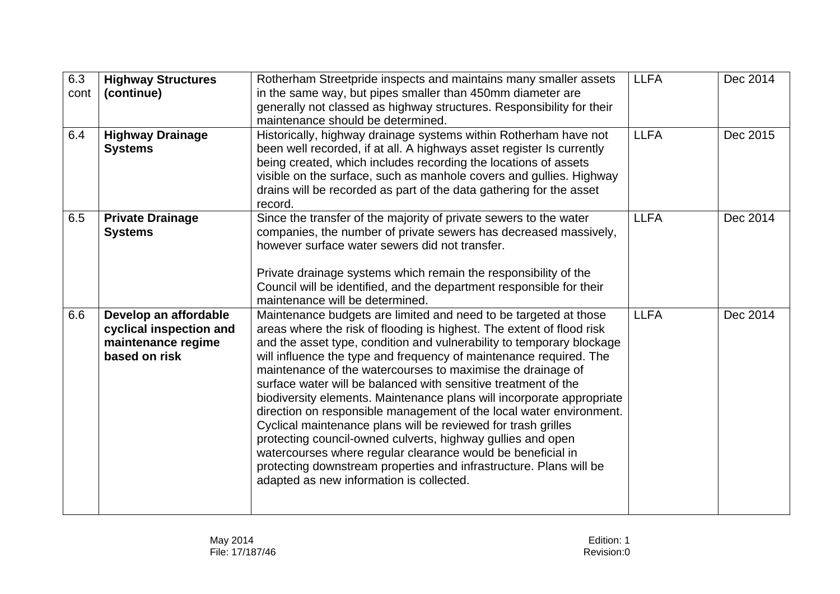| 6.3  | <b>Highway Structures</b> | Rotherham Streetpride inspects and maintains many smaller assets                                                           | <b>LLFA</b> | Dec 2014 |
|------|---------------------------|----------------------------------------------------------------------------------------------------------------------------|-------------|----------|
| cont | (continue)                | in the same way, but pipes smaller than 450mm diameter are                                                                 |             |          |
|      |                           | generally not classed as highway structures. Responsibility for their                                                      |             |          |
|      |                           | maintenance should be determined.                                                                                          |             |          |
| 6.4  | <b>Highway Drainage</b>   | Historically, highway drainage systems within Rotherham have not                                                           | <b>LLFA</b> | Dec 2015 |
|      | <b>Systems</b>            | been well recorded, if at all. A highways asset register Is currently                                                      |             |          |
|      |                           | being created, which includes recording the locations of assets                                                            |             |          |
|      |                           | visible on the surface, such as manhole covers and gullies. Highway                                                        |             |          |
|      |                           | drains will be recorded as part of the data gathering for the asset                                                        |             |          |
|      |                           | record.                                                                                                                    |             |          |
| 6.5  | <b>Private Drainage</b>   | Since the transfer of the majority of private sewers to the water                                                          | <b>LLFA</b> | Dec 2014 |
|      | <b>Systems</b>            | companies, the number of private sewers has decreased massively,                                                           |             |          |
|      |                           | however surface water sewers did not transfer.                                                                             |             |          |
|      |                           |                                                                                                                            |             |          |
|      |                           | Private drainage systems which remain the responsibility of the                                                            |             |          |
|      |                           | Council will be identified, and the department responsible for their                                                       |             |          |
|      |                           | maintenance will be determined.                                                                                            |             |          |
| 6.6  | Develop an affordable     | Maintenance budgets are limited and need to be targeted at those                                                           | <b>LLFA</b> | Dec 2014 |
|      | cyclical inspection and   | areas where the risk of flooding is highest. The extent of flood risk                                                      |             |          |
|      | maintenance regime        | and the asset type, condition and vulnerability to temporary blockage                                                      |             |          |
|      | based on risk             | will influence the type and frequency of maintenance required. The                                                         |             |          |
|      |                           | maintenance of the watercourses to maximise the drainage of                                                                |             |          |
|      |                           | surface water will be balanced with sensitive treatment of the                                                             |             |          |
|      |                           | biodiversity elements. Maintenance plans will incorporate appropriate                                                      |             |          |
|      |                           | direction on responsible management of the local water environment.                                                        |             |          |
|      |                           | Cyclical maintenance plans will be reviewed for trash grilles                                                              |             |          |
|      |                           | protecting council-owned culverts, highway gullies and open<br>watercourses where regular clearance would be beneficial in |             |          |
|      |                           | protecting downstream properties and infrastructure. Plans will be                                                         |             |          |
|      |                           | adapted as new information is collected.                                                                                   |             |          |
|      |                           |                                                                                                                            |             |          |
|      |                           |                                                                                                                            |             |          |
|      |                           |                                                                                                                            |             |          |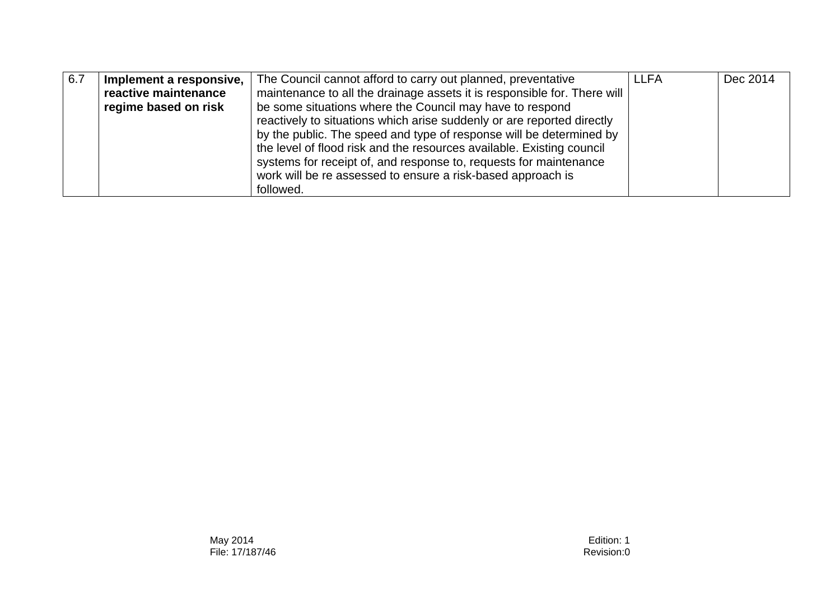| 6.7 | Implement a responsive, | The Council cannot afford to carry out planned, preventative             | <b>LLFA</b> | Dec 2014 |
|-----|-------------------------|--------------------------------------------------------------------------|-------------|----------|
|     | reactive maintenance    | maintenance to all the drainage assets it is responsible for. There will |             |          |
|     | regime based on risk    | be some situations where the Council may have to respond                 |             |          |
|     |                         | reactively to situations which arise suddenly or are reported directly   |             |          |
|     |                         | by the public. The speed and type of response will be determined by      |             |          |
|     |                         | the level of flood risk and the resources available. Existing council    |             |          |
|     |                         | systems for receipt of, and response to, requests for maintenance        |             |          |
|     |                         | work will be re assessed to ensure a risk-based approach is              |             |          |
|     |                         | followed.                                                                |             |          |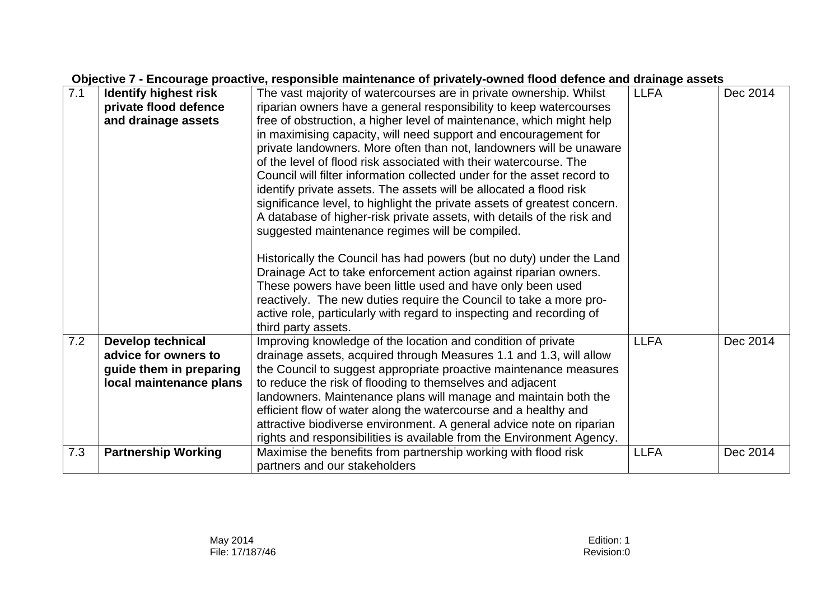## **Objective 7 - Encourage proactive, responsible maintenance of privately-owned flood defence and drainage assets**

| 7.1 | <b>Identify highest risk</b> | The vast majority of watercourses are in private ownership. Whilst       | <b>LLFA</b> | Dec 2014 |
|-----|------------------------------|--------------------------------------------------------------------------|-------------|----------|
|     | private flood defence        | riparian owners have a general responsibility to keep watercourses       |             |          |
|     | and drainage assets          | free of obstruction, a higher level of maintenance, which might help     |             |          |
|     |                              | in maximising capacity, will need support and encouragement for          |             |          |
|     |                              | private landowners. More often than not, landowners will be unaware      |             |          |
|     |                              | of the level of flood risk associated with their watercourse. The        |             |          |
|     |                              | Council will filter information collected under for the asset record to  |             |          |
|     |                              | identify private assets. The assets will be allocated a flood risk       |             |          |
|     |                              |                                                                          |             |          |
|     |                              | significance level, to highlight the private assets of greatest concern. |             |          |
|     |                              | A database of higher-risk private assets, with details of the risk and   |             |          |
|     |                              | suggested maintenance regimes will be compiled.                          |             |          |
|     |                              |                                                                          |             |          |
|     |                              | Historically the Council has had powers (but no duty) under the Land     |             |          |
|     |                              | Drainage Act to take enforcement action against riparian owners.         |             |          |
|     |                              | These powers have been little used and have only been used               |             |          |
|     |                              | reactively. The new duties require the Council to take a more pro-       |             |          |
|     |                              | active role, particularly with regard to inspecting and recording of     |             |          |
|     |                              | third party assets.                                                      |             |          |
| 7.2 | <b>Develop technical</b>     | Improving knowledge of the location and condition of private             | <b>LLFA</b> | Dec 2014 |
|     | advice for owners to         | drainage assets, acquired through Measures 1.1 and 1.3, will allow       |             |          |
|     | guide them in preparing      | the Council to suggest appropriate proactive maintenance measures        |             |          |
|     | local maintenance plans      | to reduce the risk of flooding to themselves and adjacent                |             |          |
|     |                              | landowners. Maintenance plans will manage and maintain both the          |             |          |
|     |                              | efficient flow of water along the watercourse and a healthy and          |             |          |
|     |                              | attractive biodiverse environment. A general advice note on riparian     |             |          |
|     |                              | rights and responsibilities is available from the Environment Agency.    |             |          |
| 7.3 | <b>Partnership Working</b>   | Maximise the benefits from partnership working with flood risk           | <b>LLFA</b> | Dec 2014 |
|     |                              | partners and our stakeholders                                            |             |          |
|     |                              |                                                                          |             |          |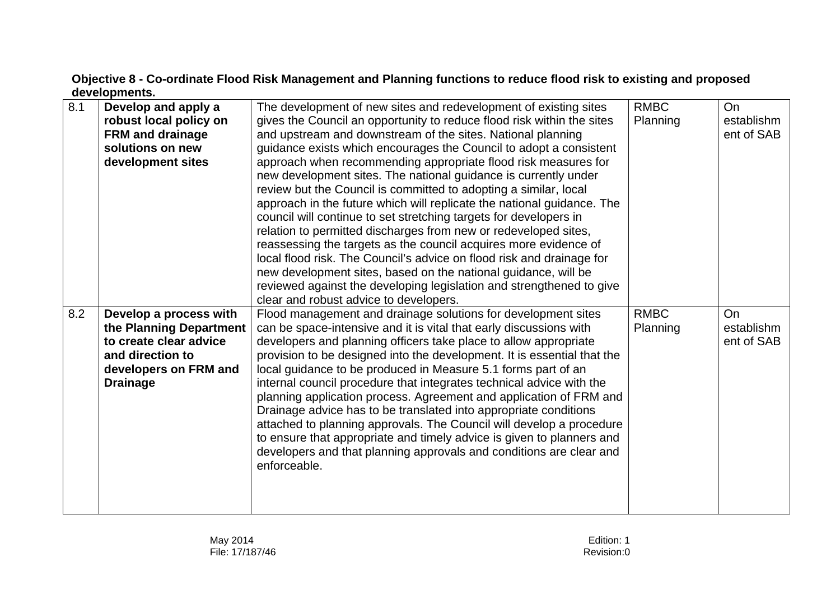## **Objective 8 - Co-ordinate Flood Risk Management and Planning functions to reduce flood risk to existing and proposed developments.**

| 8.1 | Develop and apply a<br>robust local policy on<br><b>FRM and drainage</b><br>solutions on new<br>development sites                           | The development of new sites and redevelopment of existing sites<br>gives the Council an opportunity to reduce flood risk within the sites<br>and upstream and downstream of the sites. National planning<br>guidance exists which encourages the Council to adopt a consistent<br>approach when recommending appropriate flood risk measures for<br>new development sites. The national guidance is currently under<br>review but the Council is committed to adopting a similar, local<br>approach in the future which will replicate the national guidance. The<br>council will continue to set stretching targets for developers in<br>relation to permitted discharges from new or redeveloped sites,<br>reassessing the targets as the council acquires more evidence of<br>local flood risk. The Council's advice on flood risk and drainage for<br>new development sites, based on the national guidance, will be | <b>RMBC</b><br>Planning | On<br>establishm<br>ent of SAB        |
|-----|---------------------------------------------------------------------------------------------------------------------------------------------|---------------------------------------------------------------------------------------------------------------------------------------------------------------------------------------------------------------------------------------------------------------------------------------------------------------------------------------------------------------------------------------------------------------------------------------------------------------------------------------------------------------------------------------------------------------------------------------------------------------------------------------------------------------------------------------------------------------------------------------------------------------------------------------------------------------------------------------------------------------------------------------------------------------------------|-------------------------|---------------------------------------|
|     |                                                                                                                                             | reviewed against the developing legislation and strengthened to give<br>clear and robust advice to developers.                                                                                                                                                                                                                                                                                                                                                                                                                                                                                                                                                                                                                                                                                                                                                                                                            |                         |                                       |
| 8.2 | Develop a process with<br>the Planning Department<br>to create clear advice<br>and direction to<br>developers on FRM and<br><b>Drainage</b> | Flood management and drainage solutions for development sites<br>can be space-intensive and it is vital that early discussions with<br>developers and planning officers take place to allow appropriate<br>provision to be designed into the development. It is essential that the<br>local guidance to be produced in Measure 5.1 forms part of an<br>internal council procedure that integrates technical advice with the<br>planning application process. Agreement and application of FRM and<br>Drainage advice has to be translated into appropriate conditions<br>attached to planning approvals. The Council will develop a procedure<br>to ensure that appropriate and timely advice is given to planners and<br>developers and that planning approvals and conditions are clear and<br>enforceable.                                                                                                             | <b>RMBC</b><br>Planning | <b>On</b><br>establishm<br>ent of SAB |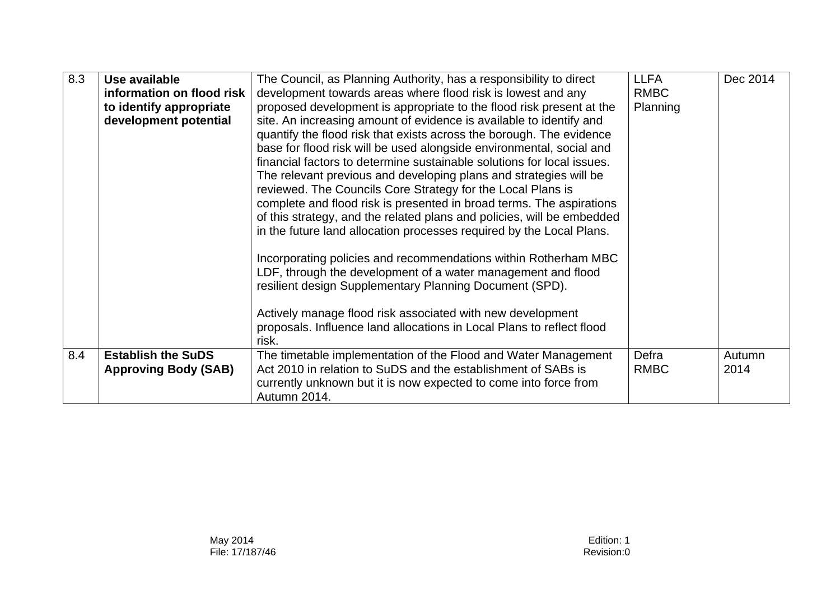| 8.3 | Use available<br>information on flood risk<br>to identify appropriate<br>development potential | The Council, as Planning Authority, has a responsibility to direct<br>development towards areas where flood risk is lowest and any<br>proposed development is appropriate to the flood risk present at the<br>site. An increasing amount of evidence is available to identify and<br>quantify the flood risk that exists across the borough. The evidence<br>base for flood risk will be used alongside environmental, social and<br>financial factors to determine sustainable solutions for local issues.<br>The relevant previous and developing plans and strategies will be<br>reviewed. The Councils Core Strategy for the Local Plans is<br>complete and flood risk is presented in broad terms. The aspirations<br>of this strategy, and the related plans and policies, will be embedded<br>in the future land allocation processes required by the Local Plans.<br>Incorporating policies and recommendations within Rotherham MBC<br>LDF, through the development of a water management and flood<br>resilient design Supplementary Planning Document (SPD).<br>Actively manage flood risk associated with new development<br>proposals. Influence land allocations in Local Plans to reflect flood | <b>LLFA</b><br><b>RMBC</b><br>Planning | Dec 2014       |
|-----|------------------------------------------------------------------------------------------------|----------------------------------------------------------------------------------------------------------------------------------------------------------------------------------------------------------------------------------------------------------------------------------------------------------------------------------------------------------------------------------------------------------------------------------------------------------------------------------------------------------------------------------------------------------------------------------------------------------------------------------------------------------------------------------------------------------------------------------------------------------------------------------------------------------------------------------------------------------------------------------------------------------------------------------------------------------------------------------------------------------------------------------------------------------------------------------------------------------------------------------------------------------------------------------------------------------------|----------------------------------------|----------------|
|     |                                                                                                | risk.                                                                                                                                                                                                                                                                                                                                                                                                                                                                                                                                                                                                                                                                                                                                                                                                                                                                                                                                                                                                                                                                                                                                                                                                          |                                        |                |
| 8.4 | <b>Establish the SuDS</b><br><b>Approving Body (SAB)</b>                                       | The timetable implementation of the Flood and Water Management<br>Act 2010 in relation to SuDS and the establishment of SABs is<br>currently unknown but it is now expected to come into force from<br>Autumn 2014.                                                                                                                                                                                                                                                                                                                                                                                                                                                                                                                                                                                                                                                                                                                                                                                                                                                                                                                                                                                            | Defra<br><b>RMBC</b>                   | Autumn<br>2014 |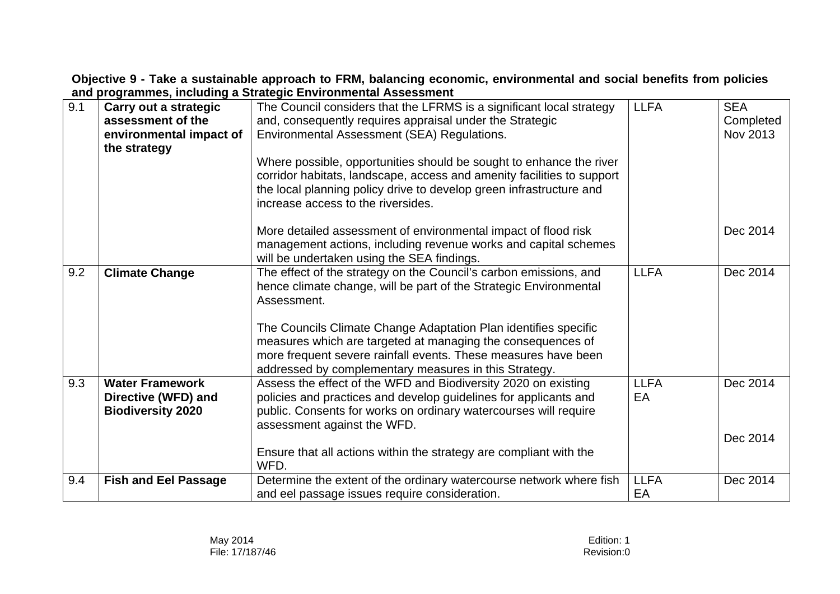**Objective 9 - Take a sustainable approach to FRM, balancing economic, environmental and social benefits from policies and programmes, including a Strategic Environmental Assessment** 

| 9.1 | Carry out a strategic<br>assessment of the<br>environmental impact of<br>the strategy | The Council considers that the LFRMS is a significant local strategy<br>and, consequently requires appraisal under the Strategic<br>Environmental Assessment (SEA) Regulations.<br>Where possible, opportunities should be sought to enhance the river<br>corridor habitats, landscape, access and amenity facilities to support<br>the local planning policy drive to develop green infrastructure and<br>increase access to the riversides. | <b>LLFA</b>       | <b>SEA</b><br>Completed<br>Nov 2013 |
|-----|---------------------------------------------------------------------------------------|-----------------------------------------------------------------------------------------------------------------------------------------------------------------------------------------------------------------------------------------------------------------------------------------------------------------------------------------------------------------------------------------------------------------------------------------------|-------------------|-------------------------------------|
|     |                                                                                       | More detailed assessment of environmental impact of flood risk<br>management actions, including revenue works and capital schemes<br>will be undertaken using the SEA findings.                                                                                                                                                                                                                                                               |                   | Dec 2014                            |
| 9.2 | <b>Climate Change</b>                                                                 | The effect of the strategy on the Council's carbon emissions, and<br>hence climate change, will be part of the Strategic Environmental<br>Assessment.<br>The Councils Climate Change Adaptation Plan identifies specific<br>measures which are targeted at managing the consequences of<br>more frequent severe rainfall events. These measures have been<br>addressed by complementary measures in this Strategy.                            | <b>LLFA</b>       | Dec 2014                            |
| 9.3 | <b>Water Framework</b><br>Directive (WFD) and<br><b>Biodiversity 2020</b>             | Assess the effect of the WFD and Biodiversity 2020 on existing<br>policies and practices and develop guidelines for applicants and<br>public. Consents for works on ordinary watercourses will require<br>assessment against the WFD.                                                                                                                                                                                                         | <b>LLFA</b><br>EA | Dec 2014                            |
|     |                                                                                       | Ensure that all actions within the strategy are compliant with the<br>WFD.                                                                                                                                                                                                                                                                                                                                                                    |                   | Dec 2014                            |
| 9.4 | <b>Fish and Eel Passage</b>                                                           | Determine the extent of the ordinary watercourse network where fish<br>and eel passage issues require consideration.                                                                                                                                                                                                                                                                                                                          | <b>LLFA</b><br>EA | Dec 2014                            |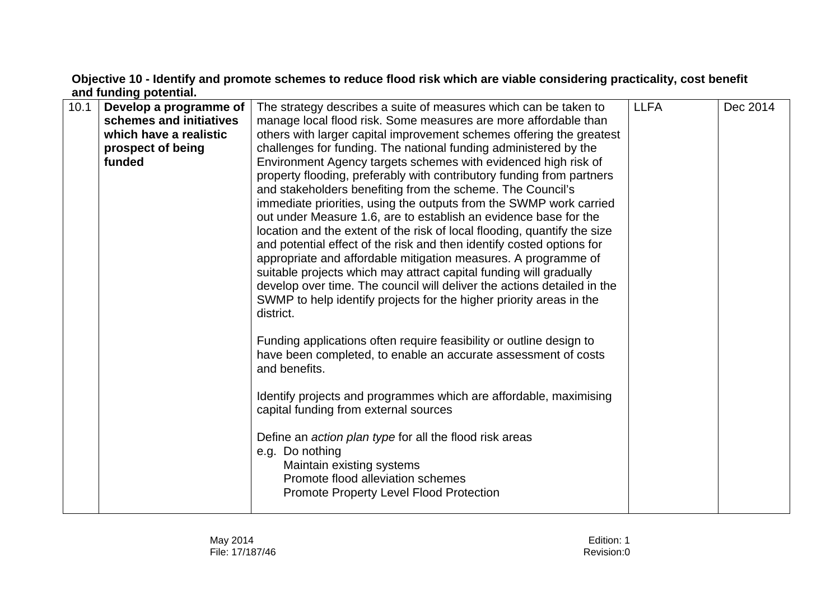## **Objective 10 - Identify and promote schemes to reduce flood risk which are viable considering practicality, cost benefit and funding potential.**

|  | 10.1 | Develop a programme of<br>schemes and initiatives<br>which have a realistic<br>prospect of being<br>funded | The strategy describes a suite of measures which can be taken to<br>manage local flood risk. Some measures are more affordable than<br>others with larger capital improvement schemes offering the greatest<br>challenges for funding. The national funding administered by the<br>Environment Agency targets schemes with evidenced high risk of<br>property flooding, preferably with contributory funding from partners<br>and stakeholders benefiting from the scheme. The Council's<br>immediate priorities, using the outputs from the SWMP work carried<br>out under Measure 1.6, are to establish an evidence base for the<br>location and the extent of the risk of local flooding, quantify the size<br>and potential effect of the risk and then identify costed options for<br>appropriate and affordable mitigation measures. A programme of<br>suitable projects which may attract capital funding will gradually<br>develop over time. The council will deliver the actions detailed in the<br>SWMP to help identify projects for the higher priority areas in the<br>district.<br>Funding applications often require feasibility or outline design to<br>have been completed, to enable an accurate assessment of costs<br>and benefits.<br>Identify projects and programmes which are affordable, maximising<br>capital funding from external sources<br>Define an <i>action plan type</i> for all the flood risk areas<br>e.g. Do nothing<br>Maintain existing systems<br>Promote flood alleviation schemes<br>Promote Property Level Flood Protection | <b>LLFA</b> | Dec 2014 |
|--|------|------------------------------------------------------------------------------------------------------------|--------------------------------------------------------------------------------------------------------------------------------------------------------------------------------------------------------------------------------------------------------------------------------------------------------------------------------------------------------------------------------------------------------------------------------------------------------------------------------------------------------------------------------------------------------------------------------------------------------------------------------------------------------------------------------------------------------------------------------------------------------------------------------------------------------------------------------------------------------------------------------------------------------------------------------------------------------------------------------------------------------------------------------------------------------------------------------------------------------------------------------------------------------------------------------------------------------------------------------------------------------------------------------------------------------------------------------------------------------------------------------------------------------------------------------------------------------------------------------------------------------------------------------------------------------------------------|-------------|----------|
|--|------|------------------------------------------------------------------------------------------------------------|--------------------------------------------------------------------------------------------------------------------------------------------------------------------------------------------------------------------------------------------------------------------------------------------------------------------------------------------------------------------------------------------------------------------------------------------------------------------------------------------------------------------------------------------------------------------------------------------------------------------------------------------------------------------------------------------------------------------------------------------------------------------------------------------------------------------------------------------------------------------------------------------------------------------------------------------------------------------------------------------------------------------------------------------------------------------------------------------------------------------------------------------------------------------------------------------------------------------------------------------------------------------------------------------------------------------------------------------------------------------------------------------------------------------------------------------------------------------------------------------------------------------------------------------------------------------------|-------------|----------|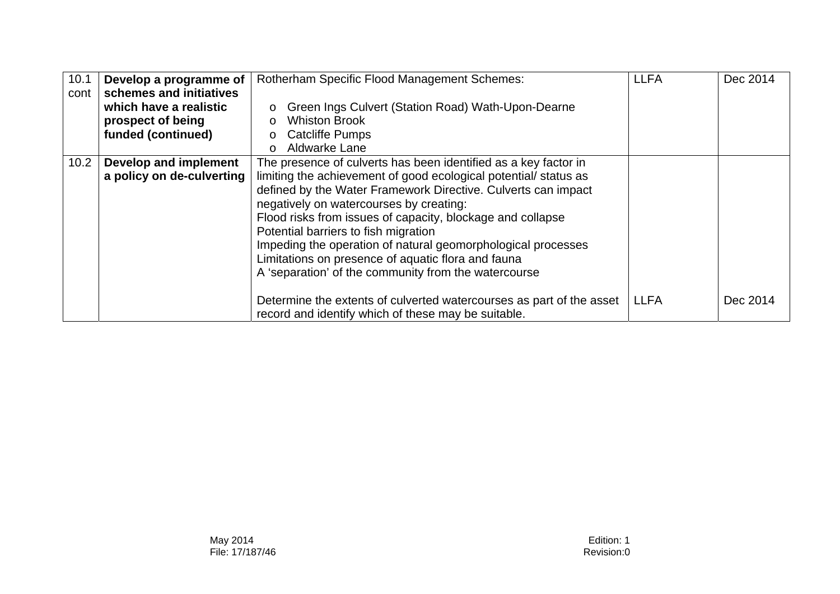| 10.1 | Develop a programme of<br>schemes and initiatives | <b>Rotherham Specific Flood Management Schemes:</b>                                                                         | <b>LLFA</b> | Dec 2014 |
|------|---------------------------------------------------|-----------------------------------------------------------------------------------------------------------------------------|-------------|----------|
| cont | which have a realistic                            | Green Ings Culvert (Station Road) Wath-Upon-Dearne<br>$\circ$                                                               |             |          |
|      | prospect of being                                 | <b>Whiston Brook</b><br>$\circ$                                                                                             |             |          |
|      | funded (continued)                                | <b>Catcliffe Pumps</b><br>$\circ$                                                                                           |             |          |
|      |                                                   | Aldwarke Lane<br>$\Omega$                                                                                                   |             |          |
| 10.2 | Develop and implement                             | The presence of culverts has been identified as a key factor in                                                             |             |          |
|      | a policy on de-culverting                         | limiting the achievement of good ecological potential/status as                                                             |             |          |
|      |                                                   | defined by the Water Framework Directive. Culverts can impact                                                               |             |          |
|      |                                                   | negatively on watercourses by creating:                                                                                     |             |          |
|      |                                                   | Flood risks from issues of capacity, blockage and collapse                                                                  |             |          |
|      |                                                   | Potential barriers to fish migration                                                                                        |             |          |
|      |                                                   | Impeding the operation of natural geomorphological processes                                                                |             |          |
|      |                                                   | Limitations on presence of aquatic flora and fauna                                                                          |             |          |
|      |                                                   | A 'separation' of the community from the watercourse                                                                        |             |          |
|      |                                                   |                                                                                                                             |             |          |
|      |                                                   | Determine the extents of culverted watercourses as part of the asset<br>record and identify which of these may be suitable. | <b>LLFA</b> | Dec 2014 |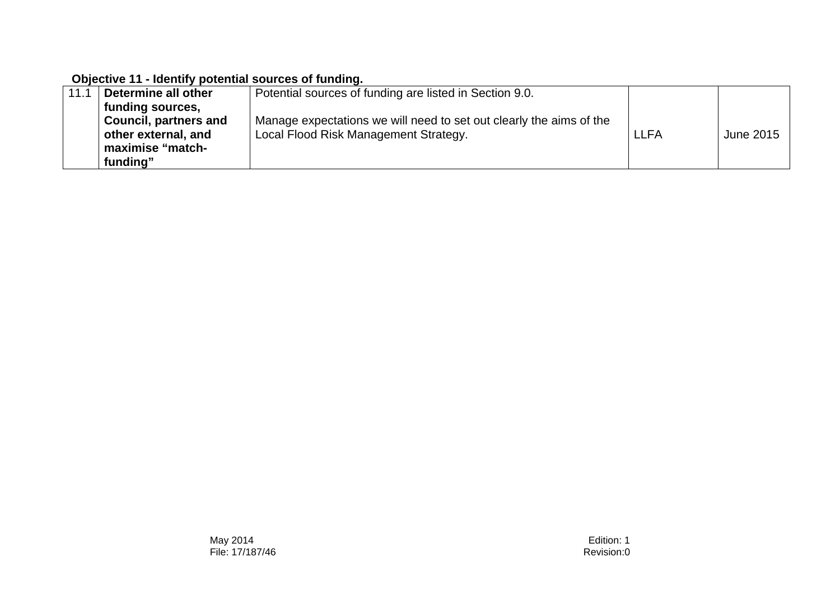#### **Objective 11 - Identify potential sources of funding.**

| 11.1 | Determine all other          | Potential sources of funding are listed in Section 9.0.             |      |           |
|------|------------------------------|---------------------------------------------------------------------|------|-----------|
|      | funding sources,             |                                                                     |      |           |
|      | <b>Council, partners and</b> | Manage expectations we will need to set out clearly the aims of the |      |           |
|      | other external, and          | Local Flood Risk Management Strategy.                               | LLFA | June 2015 |
|      | maximise "match-             |                                                                     |      |           |
|      | funding"                     |                                                                     |      |           |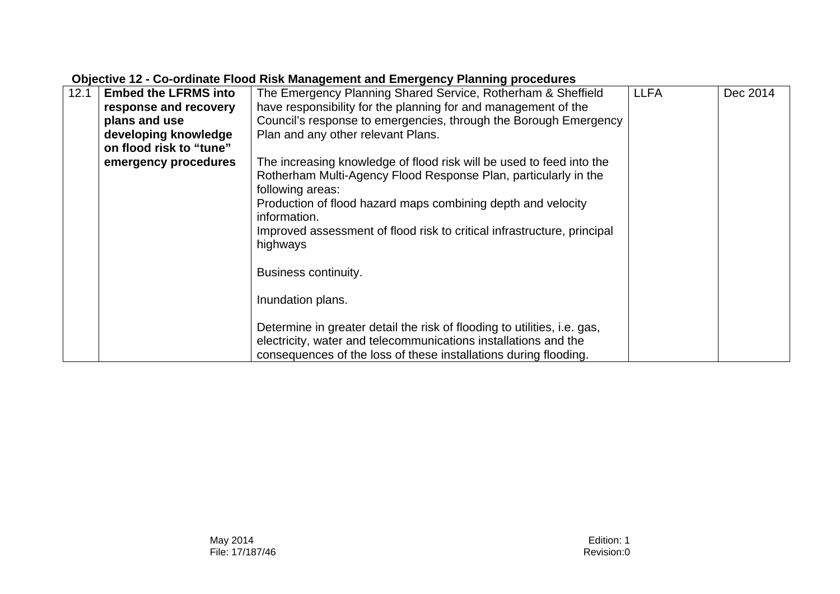| 12.1 | <b>Embed the LFRMS into</b> | The Emergency Planning Shared Service, Rotherham & Sheffield                                                                                                                                                           | <b>LLFA</b> | Dec 2014 |  |  |
|------|-----------------------------|------------------------------------------------------------------------------------------------------------------------------------------------------------------------------------------------------------------------|-------------|----------|--|--|
|      | response and recovery       | have responsibility for the planning for and management of the                                                                                                                                                         |             |          |  |  |
|      | plans and use               | Council's response to emergencies, through the Borough Emergency                                                                                                                                                       |             |          |  |  |
|      | developing knowledge        | Plan and any other relevant Plans.                                                                                                                                                                                     |             |          |  |  |
|      | on flood risk to "tune"     |                                                                                                                                                                                                                        |             |          |  |  |
|      | emergency procedures        | The increasing knowledge of flood risk will be used to feed into the                                                                                                                                                   |             |          |  |  |
|      |                             | Rotherham Multi-Agency Flood Response Plan, particularly in the<br>following areas:                                                                                                                                    |             |          |  |  |
|      |                             | Production of flood hazard maps combining depth and velocity                                                                                                                                                           |             |          |  |  |
|      |                             | information.                                                                                                                                                                                                           |             |          |  |  |
|      |                             | Improved assessment of flood risk to critical infrastructure, principal<br>highways                                                                                                                                    |             |          |  |  |
|      |                             | Business continuity.                                                                                                                                                                                                   |             |          |  |  |
|      |                             | Inundation plans.                                                                                                                                                                                                      |             |          |  |  |
|      |                             | Determine in greater detail the risk of flooding to utilities, <i>i.e.</i> gas,<br>electricity, water and telecommunications installations and the<br>consequences of the loss of these installations during flooding. |             |          |  |  |

#### **Objective 12 - Co-ordinate Flood Risk Management and Emergency Planning procedures**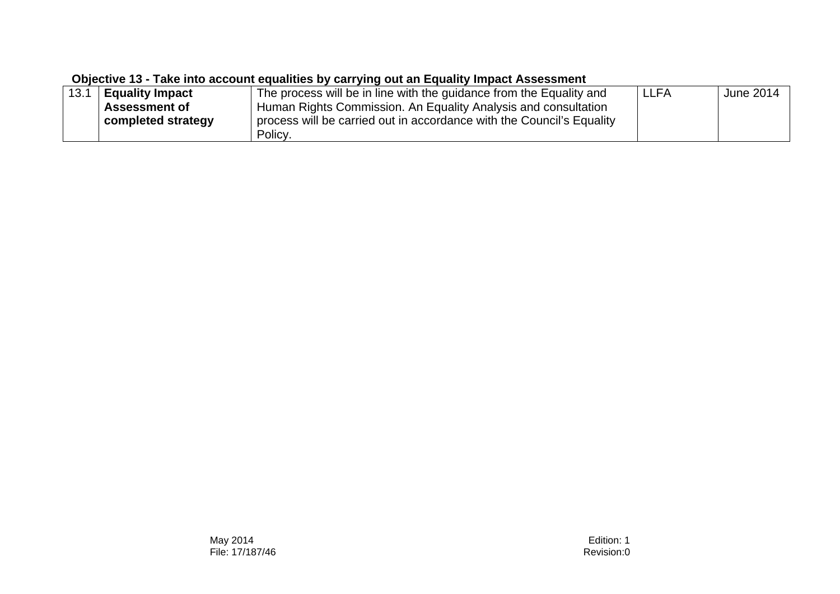#### **Objective 13 - Take into account equalities by carrying out an Equality Impact Assessment**

| 13.1 | <b>Equality Impact</b> | The process will be in line with the guidance from the Equality and   | LLFA | June 2014 |
|------|------------------------|-----------------------------------------------------------------------|------|-----------|
|      | <b>Assessment of</b>   | Human Rights Commission. An Equality Analysis and consultation        |      |           |
|      | completed strategy     | process will be carried out in accordance with the Council's Equality |      |           |
|      |                        | Policy.                                                               |      |           |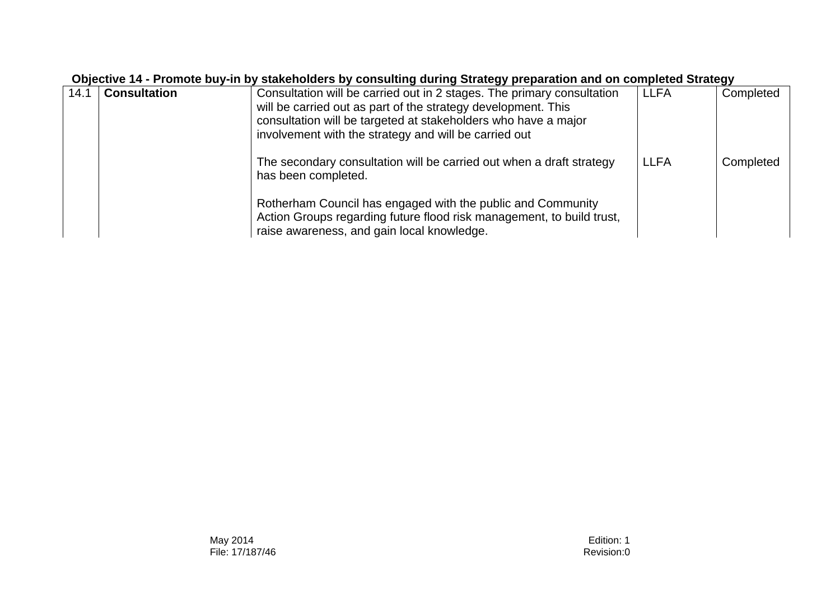| Objective 14 - Promote buy-in by stakeholders by consulting during Strategy preparation and on completed Strategy |                     |                                                                                                                                                                                                                                                                    |             |           |  |  |
|-------------------------------------------------------------------------------------------------------------------|---------------------|--------------------------------------------------------------------------------------------------------------------------------------------------------------------------------------------------------------------------------------------------------------------|-------------|-----------|--|--|
| 14.1                                                                                                              | <b>Consultation</b> | Consultation will be carried out in 2 stages. The primary consultation<br>will be carried out as part of the strategy development. This<br>consultation will be targeted at stakeholders who have a major<br>involvement with the strategy and will be carried out | <b>LLFA</b> | Completed |  |  |
|                                                                                                                   |                     | The secondary consultation will be carried out when a draft strategy<br>has been completed.                                                                                                                                                                        | <b>LLFA</b> | Completed |  |  |
|                                                                                                                   |                     | Rotherham Council has engaged with the public and Community<br>Action Groups regarding future flood risk management, to build trust,<br>raise awareness, and gain local knowledge.                                                                                 |             |           |  |  |